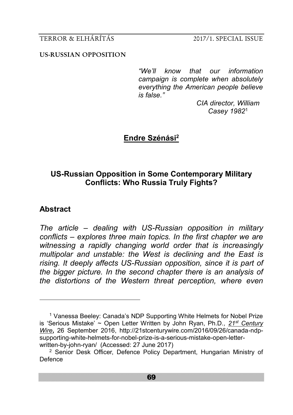### **US-RUSSIAN OPPOSITION**

*"We'll know that our information campaign is complete when absolutely everything the American people believe is false."*

> *CIA director, William Casey 1982*<sup>1</sup>

# **Endre Szénási<sup>2</sup>**

# **US-Russian Opposition in Some Contemporary Military Conflicts: Who Russia Truly Fights?**

## **Abstract**

-

*The article – dealing with US-Russian opposition in military conflicts – explores three main topics. In the first chapter we are witnessing a rapidly changing world order that is increasingly multipolar and unstable: the West is declining and the East is rising. It deeply affects US-Russian opposition, since it is part of the bigger picture. In the second chapter there is an analysis of the distortions of the Western threat perception, where even* 

<sup>1</sup> Vanessa Beeley: Canada's NDP Supporting White Helmets for Nobel Prize is 'Serious Mistake' ~ Open Letter Written by John Ryan, Ph.D.*, 21st [Century](http://wp.me/p3bwni-kph)  [Wire](http://wp.me/p3bwni-kph)***,** 26 September 2016, http://21stcenturywire.com/2016/09/26/canada-ndpsupporting-white-helmets-for-nobel-prize-is-a-serious-mistake-open-letterwritten-by-john-ryan/ (Accessed: 27 June 2017)

<sup>&</sup>lt;sup>2</sup> Senior Desk Officer, Defence Policy Department, Hungarian Ministry of Defence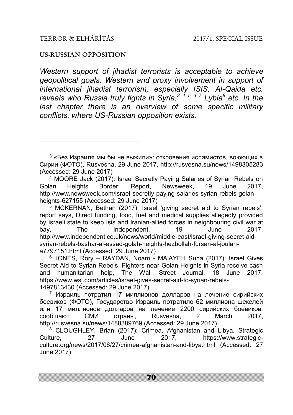-

#### **US-RUSSIAN OPPOSITION**

*Western support of jihadist terrorists is acceptable to achieve geopolitical goals. Western and proxy involvement in support of international jihadist terrorism, especially ISIS, Al-Qaida etc. reveals who Russia truly fights in Syria,<sup>3</sup> <sup>4</sup> <sup>5</sup> <sup>6</sup> <sup>7</sup> Lybia<sup>8</sup> etc. In the*  last chapter there is an overview of some specific military *conflicts, where US-Russian opposition exists.*

 $3$  «Без Израиля мы бы не выжили»: откровения исламистов, воюющих в Сирии (ФОТО), Rusvesna, 29 June 2017, http://rusvesna.su/news/1498305283 (Accessed: 29 June 2017)

<sup>4</sup> MOORE Jack (2017): Israel Secretly Paying Salaries of Syrian Rebels on Golan Heights Border: Report, Newsweek, 19 June 2017, http://www.newsweek.com/israel-secretly-paying-salaries-syrian-rebels-golanheights-627155 (Accessed: 29 June 2017)

<sup>5</sup> MCKERNAN, [Bethan \(2017\):](http://www.independent.co.uk/author/bethan-mckernan) Israel 'giving secret aid to Syrian rebels', report says, Direct funding, food, fuel and medical supplies allegedly provided by Israeli state to keep Isis and Iranian-allied forces in neighbouring civil war at<br>have a The conditional method of the contract of the contract of the contract of the contract of the contract o bay, The Independent, 19 June 2017, http://www.independent.co.uk/news/world/middle-east/israel-giving-secret-aidsyrian-rebels-bashar-al-assad-golah-heights-hezbollah-fursan-al-joulana7797151.html (Accessed: 29 June 2017)

<sup>6</sup> JONES, Rory – RAYDAN, Noam - MA'AYEH Suha (2017): Israel Gives Secret Aid to Syrian Rebels, Fighters near Golan Heights in Syria receive cash and humanitarian help, The Wall Street Journal, 18 June 2017, https://www.wsj.com/articles/israel-gives-secret-aid-to-syrian-rebels-1497813430 (Accessed: 29 June 2017)

<sup>7</sup> Израиль потратил 17 миллионов долларов на лечение сирийских боевиков (ФОТО), Государство Израиль потратило 62 миллиона шекелей или 17 миллионов долларов на лечение 2200 сирийских боевиков, сообщают СМИ страны, Rusvesna, 2 March 2017, http://rusvesna.su/news/1488389769 (Accessed: 29 June 2017)

<sup>8</sup> CLOUGHLEY, [Brian \(2017\): C](https://www.strategic-culture.org/authors/brian-cloughley.html)rimea, Afghanistan and Libya, Strategic Culture, 27 June 2017, https://www.strategicculture.org/news/2017/06/27/crimea-afghanistan-and-libya.html (Accessed: 27 June 2017)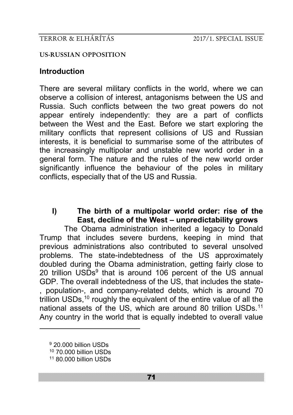### **US-RUSSIAN OPPOSITION**

## **Introduction**

There are several military conflicts in the world, where we can observe a collision of interest, antagonisms between the US and Russia. Such conflicts between the two great powers do not appear entirely independently: they are a part of conflicts between the West and the East. Before we start exploring the military conflicts that represent collisions of US and Russian interests, it is beneficial to summarise some of the attributes of the increasingly multipolar and unstable new world order in a general form. The nature and the rules of the new world order significantly influence the behaviour of the poles in military conflicts, especially that of the US and Russia.

# **I) The birth of a multipolar world order: rise of the East, decline of the West – unpredictability grows**

The Obama administration inherited a legacy to Donald Trump that includes severe burdens, keeping in mind that previous administrations also contributed to several unsolved problems. The state-indebtedness of the US approximately doubled during the Obama administration, getting fairly close to 20 trillion USDs<sup>9</sup> that is around 106 percent of the US annual GDP. The overall indebtedness of the US, that includes the state- , population-, and company-related debts, which is around 70 trillion USDs,<sup>10</sup> roughly the equivalent of the entire value of all the national assets of the US, which are around 80 trillion USDs.<sup>11</sup> Any country in the world that is equally indebted to overall value

<sup>9</sup> 20.000 billion USDs <sup>10</sup> 70.000 billion USDs <sup>11</sup> 80.000 billion USDs

<u>.</u>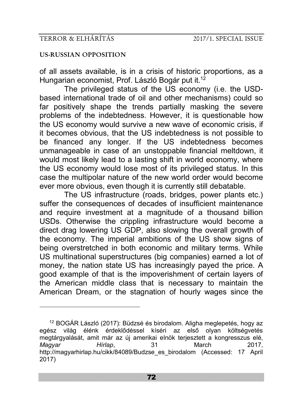<u>.</u>

### **US-RUSSIAN OPPOSITION**

of all assets available, is in a crisis of historic proportions, as a Hungarian economist, Prof. László Bogár put it.<sup>12</sup>

The privileged status of the US economy (i.e. the USDbased international trade of oil and other mechanisms) could so far positively shape the trends partially masking the severe problems of the indebtedness. However, it is questionable how the US economy would survive a new wave of economic crisis, if it becomes obvious, that the US indebtedness is not possible to be financed any longer. If the US indebtedness becomes unmanageable in case of an unstoppable financial meltdown, it would most likely lead to a lasting shift in world economy, where the US economy would lose most of its privileged status. In this case the multipolar nature of the new world order would become ever more obvious, even though it is currently still debatable.

The US infrastructure (roads, bridges, power plants etc.) suffer the consequences of decades of insufficient maintenance and require investment at a magnitude of a thousand billion USDs. Otherwise the crippling infrastructure would become a direct drag lowering US GDP, also slowing the overall growth of the economy. The imperial ambitions of the US show signs of being overstretched in both economic and military terms. While US multinational superstructures (big companies) earned a lot of money, the nation state US has increasingly payed the price. A good example of that is the impoverishment of certain layers of the American middle class that is necessary to maintain the American Dream, or the stagnation of hourly wages since the

<sup>12</sup> BOGÁR László (2017): Büdzsé és birodalom. Aligha meglepetés, hogy az egész világ élénk érdeklődéssel kíséri az első olyan költségvetés megtárgyalását, amit már az új amerikai elnök terjesztett a kongresszus elé, *Magyar Hírlap*, 31 March 2017, http://magyarhirlap.hu/cikk/84089/Budzse\_es\_birodalom (Accessed: 17 April 2017)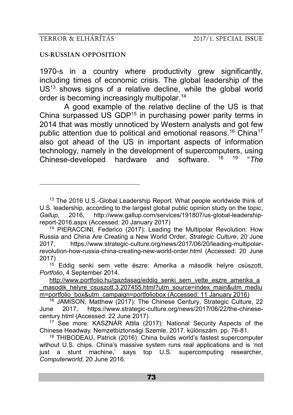-

### **US-RUSSIAN OPPOSITION**

1970-s in a country where productivity grew significantly, including times of economic crisis. The global leadership of the  $US<sup>13</sup>$  shows signs of a relative decline. while the global world order is becoming increasingly multipolar.<sup>14</sup>

A good example of the relative decline of the US is that China surpassed US GDP<sup>15</sup> in purchasing power parity terms in 2014 that was mostly unnoticed by Western analysts and got few public attention due to political and emotional reasons.<sup>16</sup> China<sup>17</sup> also got ahead of the US in important aspects of information technology, namely in the development of supercomputers, using<br>Chinose developed bardware and software  $^{18}$   $^{19}$  "The Chinese-developed hardware and software "*The* 

 $15$  Eddig senki sem vette észre: Amerika a második helyre csúszott, *Portfolio*, 4 September 2014.

<sup>&</sup>lt;sup>13</sup> The 2016 U.S.-Global Leadership Report. What people worldwide think of U.S. leadership, according to the largest global public opinion study on the topic,<br>Gallup. 2016. http://www.gallup.com/services/191807/us-global-leadership-*Gallup*, 2016, http://www.gallup.com/services/191807/us-global-leadershipreport-2016.aspx (Accessed: 20 January 2017)

<sup>14</sup> PIERACCINI, Federico (2017): Leading the Multipolar Revolution: How Russia and China Are Creating a New World Order, *Strategic Culture*, 20 June 2017, https://www.strategic-culture.org/news/2017/06/20/leading-multipolarrevolution-how-russia-china-creating-new-world-order.html (Accessed: 20 June 2017)

[http://www.portfolio.hu/gazdasag/eddig\\_senki\\_sem\\_vette\\_eszre\\_amerika\\_a](http://www.portfolio.hu/gazdasag/eddig_senki_sem_vette_eszre_amerika_a_masodik_helyre_csuszott.3.207455.html?utm_source=index_main&utm_medium=portfolio_box&utm_campaign=portfoliobox) masodik helyre csuszott.3.207455.html?utm\_source=index\_main&utm\_mediu [m=portfolio\\_box&utm\\_campaign=portfoliobox](http://www.portfolio.hu/gazdasag/eddig_senki_sem_vette_eszre_amerika_a_masodik_helyre_csuszott.3.207455.html?utm_source=index_main&utm_medium=portfolio_box&utm_campaign=portfoliobox) (Accessed: 11 January 2016)

<sup>16</sup> JAMISON, Matthew (2017): The Chinese Century, Strategic Culture, 22 June 2017, https://www.strategic-culture.org/news/2017/06/22/the-chinesecentury.html (Accessed: 22 June 2017)

<sup>17</sup> See more: KASZNÁR Attila (2017): National Security Aspects of the Chinese Headway. Nemzetbiztonsági Szemle. 2017. különszám. pp. 76-81.

<sup>18</sup> THIBODEAU, Patrick (2016): China builds world's fastest supercomputer without U.S. chips. China's massive system runs real applications and is 'not just a stunt machine,' says top U.S. supercomputing researcher, *Computerworld*, 20 June 2016.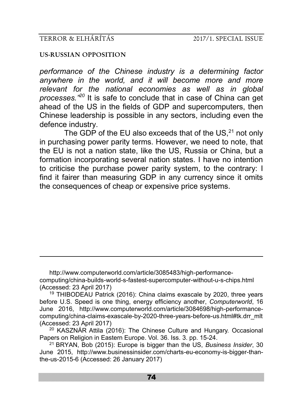-

#### **US-RUSSIAN OPPOSITION**

*performance of the Chinese industry is a determining factor anywhere in the world, and it will become more and more relevant for the national economies as well as in global processes." <sup>20</sup>* It is safe to conclude that in case of China can get ahead of the US in the fields of GDP and supercomputers, then Chinese leadership is possible in any sectors, including even the defence industry.

The GDP of the EU also exceeds that of the US, $^{21}$  not only in purchasing power parity terms. However, we need to note, that the EU is not a nation state, like the US, Russia or China, but a formation incorporating several nation states. I have no intention to criticise the purchase power parity system, to the contrary: I find it fairer than measuring GDP in any currency since it omits the consequences of cheap or expensive price systems.

http://www.computerworld.com/article/3085483/high-performancecomputing/china-builds-world-s-fastest-supercomputer-without-u-s-chips.html (Accessed: 23 April 2017)

<sup>19</sup> THIBODEAU Patrick (2016): China claims exascale by 2020, three years before U.S. Speed is one thing, energy efficiency another, *Computerworld*, 16 June 2016, http://www.computerworld.com/article/3084698/high-performancecomputing/china-claims-exascale-by-2020-three-years-before-us.html#tk.drr\_mlt (Accessed: 23 April 2017)

<sup>20</sup> KASZNÁR Attila (2016): The Chinese Culture and Hungary. Occasional Papers on Religion in Eastern Europe. Vol. 36. Iss. 3. pp. 15-24.

<sup>21</sup> BRYAN, Bob (2015): Europe is bigger than the US, *Business Insider*, 30 June 2015, http://www.businessinsider.com/charts-eu-economy-is-bigger-thanthe-us-2015-6 (Accessed: 26 January 2017)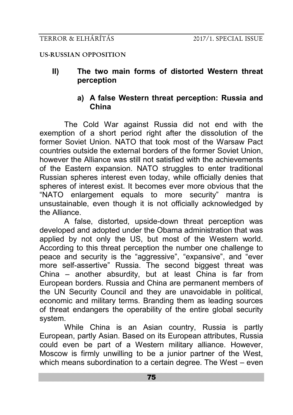**II) The two main forms of distorted Western threat perception**

# **a) A false Western threat perception: Russia and China**

The Cold War against Russia did not end with the exemption of a short period right after the dissolution of the former Soviet Union. NATO that took most of the Warsaw Pact countries outside the external borders of the former Soviet Union, however the Alliance was still not satisfied with the achievements of the Eastern expansion. NATO struggles to enter traditional Russian spheres interest even today, while officially denies that spheres of interest exist. It becomes ever more obvious that the "NATO enlargement equals to more security" mantra is unsustainable, even though it is not officially acknowledged by the Alliance.

A false, distorted, upside-down threat perception was developed and adopted under the Obama administration that was applied by not only the US, but most of the Western world. According to this threat perception the number one challenge to peace and security is the "aggressive", "expansive", and "ever more self-assertive" Russia. The second biggest threat was China – another absurdity, but at least China is far from European borders. Russia and China are permanent members of the UN Security Council and they are unavoidable in political, economic and military terms. Branding them as leading sources of threat endangers the operability of the entire global security system.

While China is an Asian country, Russia is partly European, partly Asian. Based on its European attributes, Russia could even be part of a Western military alliance. However, Moscow is firmly unwilling to be a junior partner of the West, which means subordination to a certain degree. The West – even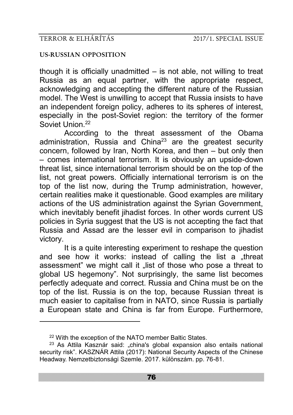## **US-RUSSIAN OPPOSITION**

though it is officially unadmitted  $-$  is not able, not willing to treat Russia as an equal partner, with the appropriate respect, acknowledging and accepting the different nature of the Russian model. The West is unwilling to accept that Russia insists to have an independent foreign policy, adheres to its spheres of interest, especially in the post-Soviet region: the territory of the former Soviet Union.<sup>22</sup>

According to the threat assessment of the Obama administration, Russia and China<sup>23</sup> are the greatest security concern, followed by Iran, North Korea, and then – but only then – comes international terrorism. It is obviously an upside-down threat list, since international terrorism should be on the top of the list, not great powers. Officially international terrorism is on the top of the list now, during the Trump administration, however, certain realities make it questionable. Good examples are military actions of the US administration against the Syrian Government, which inevitably benefit jihadist forces. In other words current US policies in Syria suggest that the US is not accepting the fact that Russia and Assad are the lesser evil in comparison to jihadist victory.

It is a quite interesting experiment to reshape the question and see how it works: instead of calling the list a "threat assessment" we might call it "list of those who pose a threat to global US hegemony". Not surprisingly, the same list becomes perfectly adequate and correct. Russia and China must be on the top of the list. Russia is on the top, because Russian threat is much easier to capitalise from in NATO, since Russia is partially a European state and China is far from Europe. Furthermore,

-

<sup>&</sup>lt;sup>22</sup> With the exception of the NATO member Baltic States.

<sup>23</sup> As Attila Kasznár said: "china's global expansion also entails national security risk". KASZNÁR Attila (2017): National Security Aspects of the Chinese Headway. Nemzetbiztonsági Szemle. 2017. különszám. pp. 76-81.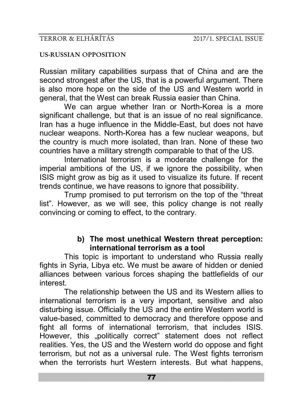Russian military capabilities surpass that of China and are the second strongest after the US, that is a powerful argument. There is also more hope on the side of the US and Western world in general, that the West can break Russia easier than China.

We can argue whether Iran or North-Korea is a more significant challenge, but that is an issue of no real significance. Iran has a huge influence in the Middle-East, but does not have nuclear weapons. North-Korea has a few nuclear weapons, but the country is much more isolated, than Iran. None of these two countries have a military strength comparable to that of the US.

International terrorism is a moderate challenge for the imperial ambitions of the US, if we ignore the possibility, when ISIS might grow as big as it used to visualize its future. If recent trends continue, we have reasons to ignore that possibility.

Trump promised to put terrorism on the top of the "threat list". However, as we will see, this policy change is not really convincing or coming to effect, to the contrary.

# **b) The most unethical Western threat perception: international terrorism as a tool**

This topic is important to understand who Russia really fights in Syria, Libya etc. We must be aware of hidden or denied alliances between various forces shaping the battlefields of our interest.

The relationship between the US and its Western allies to international terrorism is a very important, sensitive and also disturbing issue. Officially the US and the entire Western world is value-based, committed to democracy and therefore oppose and fight all forms of international terrorism, that includes ISIS. However, this "politically correct" statement does not reflect realities. Yes, the US and the Western world do oppose and fight terrorism, but not as a universal rule. The West fights terrorism when the terrorists hurt Western interests. But what happens,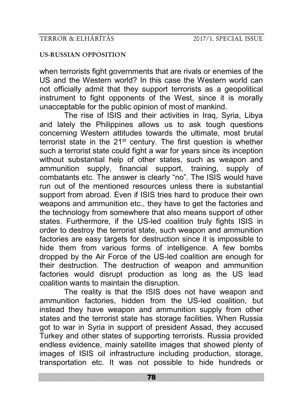when terrorists fight governments that are rivals or enemies of the US and the Western world? In this case the Western world can not officially admit that they support terrorists as a geopolitical instrument to fight opponents of the West, since it is morally unacceptable for the public opinion of most of mankind.

The rise of ISIS and their activities in Iraq, Syria, Libya and lately the Philippines allows us to ask tough questions concerning Western attitudes towards the ultimate, most brutal terrorist state in the 21st century. The first question is whether such a terrorist state could fight a war for years since its inception without substantial help of other states, such as weapon and ammunition supply, financial support, training, supply of combatants etc. The answer is clearly "no". The ISIS would have run out of the mentioned resources unless there is substantial support from abroad. Even if ISIS tries hard to produce their own weapons and ammunition etc., they have to get the factories and the technology from somewhere that also means support of other states. Furthermore, if the US-led coalition truly fights ISIS in order to destroy the terrorist state, such weapon and ammunition factories are easy targets for destruction since it is impossible to hide them from various forms of intelligence. A few bombs dropped by the Air Force of the US-led coalition are enough for their destruction. The destruction of weapon and ammunition factories would disrupt production as long as the US lead coalition wants to maintain the disruption.

The reality is that the ISIS does not have weapon and ammunition factories, hidden from the US-led coalition, but instead they have weapon and ammunition supply from other states and the terrorist state has storage facilities. When Russia got to war in Syria in support of president Assad, they accused Turkey and other states of supporting terrorists. Russia provided endless evidence, mainly satellite images that showed plenty of images of ISIS oil infrastructure including production, storage, transportation etc. It was not possible to hide hundreds or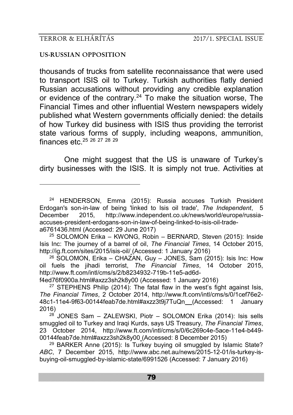-

### **US-RUSSIAN OPPOSITION**

thousands of trucks from satellite reconnaissance that were used to transport ISIS oil to Turkey. Turkish authorities flatly denied Russian accusations without providing any credible explanation or evidence of the contrary.<sup>24</sup> To make the situation worse, The Financial Times and other influential Western newspapers widely published what Western governments officially denied: the details of how Turkey did business with ISIS thus providing the terrorist state various forms of supply, including weapons, ammunition, finances etc.<sup>25</sup> <sup>26</sup> <sup>27</sup> <sup>28</sup> <sup>29</sup>

One might suggest that the US is unaware of Turkey's dirty businesses with the ISIS. It is simply not true. Activities at

f4ed76f0900a.html#axzz3sh2k8y00 (Accessed: 1 January 2016)

<sup>24</sup> HENDERSON, Emma (2015): Russia accuses Turkish President Erdogan's son-in-law of being 'linked to Isis oil trade', *The Independent*, 5 December 2015, http://www.independent.co.uk/news/world/europe/russiaaccuses-president-erdogans-son-in-law-of-being-linked-to-isis-oil-tradea6761436.html (Accessed: 29 June 2017)

<sup>25</sup> SOLOMON Erika – KWONG, Robin – BERNARD, Steven (2015): Inside Isis Inc: The journey of a barrel of oil, *The Financial Times*, 14 October 2015, http://ig.ft.com/sites/2015/isis-oil/ (Accessed: 1 January 2016)

<sup>26</sup> SOLOMON, Erika – CHAZAN, Guy – JONES, Sam (2015): Isis Inc: How oil fuels the jihadi terrorist, *The Financial Times*, 14 October 2015, http://www.ft.com/intl/cms/s/2/b8234932-719b-11e5-ad6d-

 $27$  STEPHENS Philip (2014): The fatal flaw in the west's fight against Isis, *The Financial Times*, 2 October 2014, http://www.ft.com/intl/cms/s/0/1cef76e2- 48c1-11e4-9f63-00144feab7de.html#axzz3t9j7TuQn (Accessed: 1 January 2016)

 $28^{28}$  JONES Sam - ZALEWSKI, Piotr - SOLOMON Erika (2014): Isis sells smuggled oil to Turkey and Iraqi Kurds, says US Treasury, *The Financial Times*, 23 October 2014, http://www.ft.com/intl/cms/s/0/6c269c4e-5ace-11e4-b449- 00144feab7de.html#axzz3sh2k8y00 (Accessed: 8 December 2015)

<sup>29</sup> BARKER Anne (2015): Is Turkey buying oil smuggled by Islamic State? *ABC*, 7 December 2015, http://www.abc.net.au/news/2015-12-01/is-turkey-isbuying-oil-smuggled-by-islamic-state/6991526 (Accessed: 7 January 2016)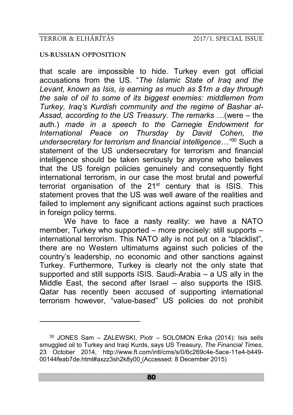-

### **US-RUSSIAN OPPOSITION**

that scale are impossible to hide. Turkey even got official accusations from the US. "*The [Islamic State of Iraq and the](http://www.ft.com/topics/organisations/Islamic_State_of_Iraq_%26_the_Levant)  [Levant,](http://www.ft.com/topics/organisations/Islamic_State_of_Iraq_%26_the_Levant) known as Isis, is earning as much as \$1m a day through the sale of oil to some of its biggest enemies: middlemen from Turkey, Iraq's Kurdish community and the regime of Bashar al-Assad, according to the US Treasury. The remarks* …(were – the auth.) *made in a [speech](http://www.treasury.gov/press-center/press-releases/Pages/jl2672.aspx) to the Carnegie Endowment for International Peace on Thursday by David Cohen, the undersecretary for terrorism and financial intelligence…"*<sup>30</sup> Such a statement of the US undersecretary for terrorism and financial intelligence should be taken seriously by anyone who believes that the US foreign policies genuinely and consequently fight international terrorism, in our case the most brutal and powerful terrorist organisation of the 21<sup>st</sup> century that is ISIS. This statement proves that the US was well aware of the realities and failed to implement any significant actions against such practices in foreign policy terms.

We have to face a nasty reality: we have a NATO member, Turkey who supported – more precisely: still supports – international terrorism. This NATO ally is not put on a "blacklist", there are no Western ultimatums against such policies of the country's leadership, no economic and other sanctions against Turkey. Furthermore, Turkey is clearly not the only state that supported and still supports ISIS. Saudi-Arabia – a US ally in the Middle East, the second after Israel – also supports the ISIS. Qatar has recently been accused of supporting international terrorism however, "value-based" US policies do not prohibit

<sup>30</sup> JONES Sam – ZALEWSKI, Piotr – SOLOMON Erika (2014): Isis sells smuggled oil to Turkey and Iraqi Kurds, says US Treasury, *The Financial Times*, 23 October 2014, http://www.ft.com/intl/cms/s/0/6c269c4e-5ace-11e4-b449- 00144feab7de.html#axzz3sh2k8y00 (Accessed: 8 December 2015)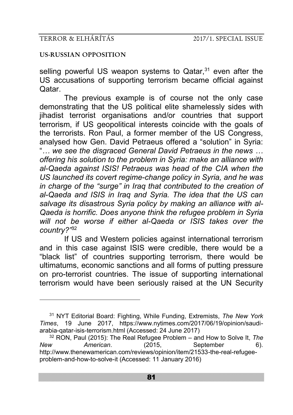-

### **US-RUSSIAN OPPOSITION**

selling powerful US weapon systems to Qatar,<sup>31</sup> even after the US accusations of supporting terrorism became official against Qatar.

The previous example is of course not the only case demonstrating that the US political elite shamelessly sides with jihadist terrorist organisations and/or countries that support terrorism, if US geopolitical interests coincide with the goals of the terrorists. Ron Paul, a former member of the US Congress, analysed how Gen. David Petraeus offered a "solution" in Syria: "*… we see the disgraced General David Petraeus in the news … offering his solution to the problem in Syria: make an alliance with al-Qaeda against ISIS! Petraeus was head of the CIA when the US launched its covert regime-change policy in Syria, and he was in charge of the "surge" in Iraq that contributed to the creation of al-Qaeda and ISIS in Iraq and Syria. The idea that the US can salvage its disastrous Syria policy by making an alliance with al-Qaeda is horrific. Does anyone think the refugee problem in Syria will not be worse if either al-Qaeda or ISIS takes over the country?"*<sup>32</sup>

If US and Western policies against international terrorism and in this case against ISIS were credible, there would be a "black list" of countries supporting terrorism, there would be ultimatums, economic sanctions and all forms of putting pressure on pro-terrorist countries. The issue of supporting international terrorism would have been seriously raised at the UN Security

<sup>31</sup> NYT Editorial Board: Fighting, While Funding, Extremists, *The New York Times*, 19 June 2017, https://www.nytimes.com/2017/06/19/opinion/saudiarabia-qatar-isis-terrorism.html (Accessed: 24 June 2017)

<sup>32</sup> RON, Paul (2015): The Real Refugee Problem – and How to Solve It, *The New American*. (2015, September 6). http://www.thenewamerican.com/reviews/opinion/item/21533-the-real-refugeeproblem-and-how-to-solve-it (Accessed: 11 January 2016)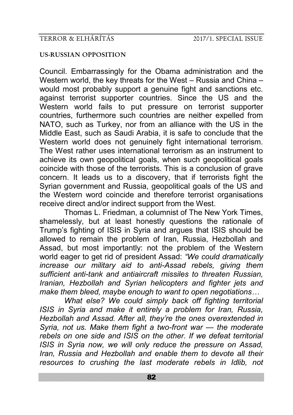### **US-RUSSIAN OPPOSITION**

Council. Embarrassingly for the Obama administration and the Western world, the key threats for the West – Russia and China – would most probably support a genuine fight and sanctions etc. against terrorist supporter countries. Since the US and the Western world fails to put pressure on terrorist supporter countries, furthermore such countries are neither expelled from NATO, such as Turkey, nor from an alliance with the US in the Middle East, such as Saudi Arabia, it is safe to conclude that the Western world does not genuinely fight international terrorism. The West rather uses international terrorism as an instrument to achieve its own geopolitical goals, when such geopolitical goals coincide with those of the terrorists. This is a conclusion of grave concern. It leads us to a discovery, that if terrorists fight the Syrian government and Russia, geopolitical goals of the US and the Western word coincide and therefore terrorist organisations receive direct and/or indirect support from the West.

Thomas L. Friedman, a columnist of The New York Times, shamelessly, but at least honestly questions the rationale of Trump's fighting of ISIS in Syria and argues that ISIS should be allowed to remain the problem of Iran, Russia, Hezbollah and Assad, but most importantly: not the problem of the Western world eager to get rid of president Assad: *"We could dramatically increase our military aid to anti-Assad rebels, giving them sufficient anti-tank and antiaircraft missiles to threaten Russian, Iranian, Hezbollah and Syrian helicopters and fighter jets and make them bleed, maybe enough to want to open negotiations…*

*What else? We could simply back off fighting territorial ISIS in Syria and make it entirely a problem for Iran, Russia, Hezbollah and Assad. After all, they're the ones overextended in Syria, not us. Make them fight a two-front war — the moderate rebels on one side and ISIS on the other. If we defeat territorial ISIS in Syria now, we will only reduce the pressure on Assad, Iran, Russia and Hezbollah and enable them to devote all their resources to crushing the last moderate rebels in Idlib, not*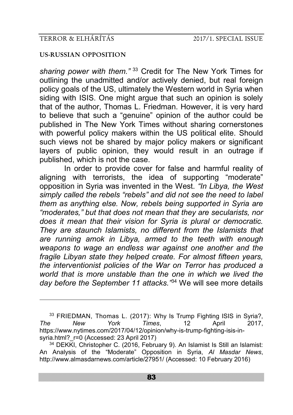-

### **US-RUSSIAN OPPOSITION**

*sharing power with them."* <sup>33</sup> Credit for The New York Times for outlining the unadmitted and/or actively denied, but real foreign policy goals of the US, ultimately the Western world in Syria when siding with ISIS. One might argue that such an opinion is solely that of the author, Thomas L. Friedman. However, it is very hard to believe that such a "genuine" opinion of the author could be published in The New York Times without sharing cornerstones with powerful policy makers within the US political elite. Should such views not be shared by major policy makers or significant layers of public opinion, they would result in an outrage if published, which is not the case.

In order to provide cover for false and harmful reality of aligning with terrorists, the idea of supporting "moderate" opposition in Syria was invented in the West. *"In Libya, the West simply called the rebels "rebels" and did not see the need to label them as anything else. Now, rebels being supported in Syria are "moderates," but that does not mean that they are secularists, nor does it mean that their vision for Syria is plural or democratic. They are staunch Islamists, no different from the Islamists that are running amok in Libya, armed to the teeth with enough weapons to wage an endless war against one another and the fragile Libyan state they helped create. For almost fifteen years, the interventionist policies of the War on Terror has produced a world that is more unstable than the one in which we lived the day before the September 11 attacks."*<sup>34</sup> We will see more details

<sup>33</sup> FRIEDMAN, Thomas L. (2017): Why Is Trump Fighting ISIS in Syria?, *The New York Times*, 12 April 2017, https://www.nytimes.com/2017/04/12/opinion/why-is-trump-fighting-isis-insyria.html? r=0 (Accessed: 23 April 2017)

<sup>&</sup>lt;sup>34</sup> DEKKI, Christopher C. (2016, February 9). An Islamist Is Still an Islamist: An Analysis of the "Moderate" Opposition in Syria, *Al Masdar News*, http://www.almasdarnews.com/article/27951/ (Accessed: 10 February 2016)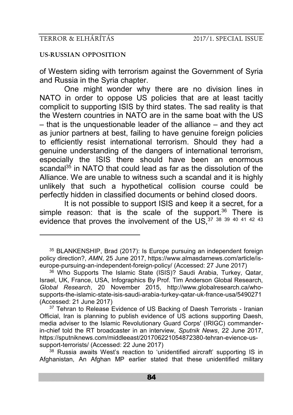-

#### **US-RUSSIAN OPPOSITION**

of Western siding with terrorism against the Government of Syria and Russia in the Syria chapter.

One might wonder why there are no division lines in NATO in order to oppose US policies that are at least tacitly complicit to supporting ISIS by third states. The sad reality is that the Western countries in NATO are in the same boat with the US – that is the unquestionable leader of the alliance – and they act as junior partners at best, failing to have genuine foreign policies to efficiently resist international terrorism. Should they had a genuine understanding of the dangers of international terrorism, especially the ISIS there should have been an enormous scandal<sup>35</sup> in NATO that could lead as far as the dissolution of the Alliance. We are unable to witness such a scandal and it is highly unlikely that such a hypothetical collision course could be perfectly hidden in classified documents or behind closed doors.

It is not possible to support ISIS and keep it a secret, for a simple reason: that is the scale of the support.<sup>36</sup> There is evidence that proves the involvement of the US, 37 38 39 40 41 42 43

 $38$  Russia awaits West's reaction to 'unidentified aircraft' supporting IS in Afghanistan, An Afghan MP earlier stated that these unidentified military

<sup>35</sup> BLANKENSHIP, Brad (2017): Is Europe pursuing an independent foreign policy direction?, *AMN*, 25 June 2017, https://www.almasdarnews.com/article/iseurope-pursuing-an-independent-foreign-policy/ (Accessed: 27 June 2017)

<sup>&</sup>lt;sup>36</sup> Who Supports The Islamic State (ISIS)? Saudi Arabia, Turkey, Qatar, Israel, UK, France, USA, Infographics By Prof. Tim Anderson Global Research, *Global Research*, 20 November 2015, http://www.globalresearch.ca/whosupports-the-islamic-state-isis-saudi-arabia-turkey-qatar-uk-france-usa/5490271 (Accessed: 21 June 2017)

<sup>&</sup>lt;sup>37</sup> Tehran to Release Evidence of US Backing of Daesh Terrorists - Iranian Official, Iran is planning to publish evidence of US actions supporting Daesh, media adviser to the Islamic Revolutionary Guard Corps' (IRIGC) commanderin-chief told the RT broadcaster in an interview, *Sputnik News*, 22 June 2017, https://sputniknews.com/middleeast/201706221054872380-tehran-evience-ussupport-terrorists/ (Accessed: 22 June 2017)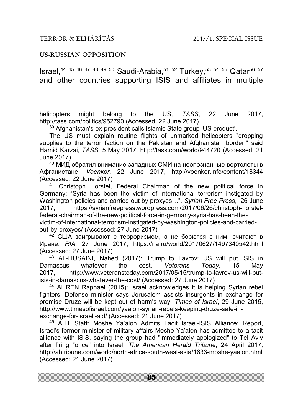-

#### **US-RUSSIAN OPPOSITION**

Israel.<sup>44 45 46 47 48 49 50</sup> Saudi-Arabia.<sup>51 52</sup> Turkey,<sup>53 54 55</sup> Qatar<sup>56 57</sup> and other countries supporting ISIS and affiliates in multiple

helicopters might belong to the US, *TASS*, 22 June 2017, http://tass.com/politics/952790 (Accessed: 22 June 2017)

<sup>39</sup> Afghanistan's ex-president calls Islamic State group 'US product'.

The US must explain routine flights of unmarked helicopters "dropping supplies to the terror faction on the Pakistan and Afghanistan border." said Hamid Karzai, *TASS*, 5 May 2017, http://tass.com/world/944720 (Accessed: 21 June 2017)

<sup>40</sup> МИД обратил внимание западных СМИ на неопознанные вертолеты в Афганистане, *Voenkor*, 22 June 2017, http://voenkor.info/content/18344 (Accessed: 22 June 2017)

<sup>41</sup> Christoph Hörstel, Federal Chairman of the new political force in Germany: "Syria has been the victim of international terrorism instigated by Washington policies and carried out by proxyes…", *Syrian Free Press*, 26 June 2017, https://syrianfreepress.wordpress.com/2017/06/26/christoph-horstelfederal-chairman-of-the-new-political-force-in-germany-syria-has-been-thevictim-of-international-terrorism-instigated-by-washington-policies-and-carriedout-by-proxyes/ (Accessed: 27 June 2017)

<sup>42</sup> США заигрывают с терроризмом, а не борются с ним, считают в Иране, *RIA*, 27 June 2017, https://ria.ru/world/20170627/1497340542.html (Accessed: 27 June 2017)

<sup>43</sup> AL-HUSAINI, Nahed (2017): Trump to Lavrov: US will put ISIS in<br>mascus whatever the cost. Veterans Today. 15 May Damascus whatever the cost, *Veterans Today*, 15 May 2017, http://www.veteranstoday.com/2017/05/15/trump-to-lavrov-us-will-putisis-in-damascus-whatever-the-cost/ (Accessed: 27 June 2017)

<sup>44</sup> AHREN Raphael (2015): Israel acknowledges it is helping Syrian rebel fighters, Defense minister says Jerusalem assists insurgents in exchange for promise Druze will be kept out of harm's way, *Times of Israel*, 29 June 2015, http://www.timesofisrael.com/yaalon-syrian-rebels-keeping-druze-safe-inexchange-for-israeli-aid/ (Accessed: 21 June 2017)

<sup>45</sup> AHT Staff: Moshe Ya'alon Admits Tacit Israel-ISIS Alliance: Report, Israel's former minister of military affairs Moshe Ya'alon has admitted to a tacit alliance with ISIS, saying the group had "immediately apologized" to Tel Aviv after firing "once" into Israel, *The American Herald Tribune*, 24 April 2017, http://ahtribune.com/world/north-africa-south-west-asia/1633-moshe-yaalon.html (Accessed: 21 June 2017)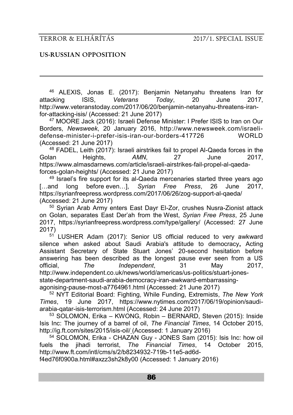-

### **US-RUSSIAN OPPOSITION**

<sup>46</sup> ALEXIS, Jonas E. (2017): Benjamin Netanyahu threatens Iran for attacking ISIS, *Veterans Today*, 20 June 2017, http://www.veteranstoday.com/2017/06/20/benjamin-netanyahu-threatens-iranfor-attacking-isis/ (Accessed: 21 June 2017)

<sup>47</sup> MOORE Jack (2016): Israeli Defense Minister: I Prefer ISIS to Iran on Our Borders, *Newsweek*, 20 January 2016, http://www.newsweek.com/israelidefense-minister-i-prefer-isis-iran-our-borders-417726 WORLD (Accessed: 21 June 2017)

<sup>48</sup> FADEL, Leith (2017): Israeli airstrikes fail to propel Al-Qaeda forces in the<br>  $\frac{1}{2}$  an Heights. AMN. 27 June 2017. Golan Heights, *AMN*, 27 June 2017, https://www.almasdarnews.com/article/israeli-airstrikes-fail-propel-al-qaedaforces-golan-heights/ (Accessed: 21 June 2017)

<sup>49</sup> Israel's fire support for its al-Qaeda mercenaries started three years ago<br>and long before even 1. S*vrian Free Press*, 26 June 2017 [...and long before even...], *Syrian Free Press*, 26 June https://syrianfreepress.wordpress.com/2017/06/26/zog-support-al-qaeda/ (Accessed: 21 June 2017)

<sup>50</sup> Syrian Arab Army enters East Dayr El-Zor, crushes Nusra-Zionist attack on Golan, separates East Der'ah from the West, *Syrian Free Press*, 25 June 2017, https://syrianfreepress.wordpress.com/type/gallery/ (Accessed: 27 June 2017)

<sup>51</sup> LUSHER Adam (2017): Senior US official reduced to very awkward silence when asked about Saudi Arabia's attitude to democracy**,** Acting Assistant Secretary of State Stuart Jones' 20-second hesitation before answering has been described as the longest pause ever seen from a US<br>official. The lndependent. 31 May 2017. official, *The Independent*, 31 May 2017, http://www.independent.co.uk/news/world/americas/us-politics/stuart-jonesstate-department-saudi-arabia-democracy-iran-awkward-embarrassingagonising-pause-most-a7764961.html (Accessed: 21 June 2017)

<sup>52</sup> NYT Editorial Board: Fighting, While Funding, Extremists, *The New York Times*, 19 June 2017, https://www.nytimes.com/2017/06/19/opinion/saudiarabia-qatar-isis-terrorism.html (Accessed: 24 June 2017)

<sup>53</sup> SOLOMON, Erika – KWONG, Robin – BERNARD, Steven (2015): Inside Isis Inc: The journey of a barrel of oil, *The Financial Times*, 14 October 2015, http://ig.ft.com/sites/2015/isis-oil/ (Accessed: 1 January 2016)

<sup>54</sup> SOLOMON, Erika - CHAZAN Guy - JONES Sam (2015): Isis Inc: how oil fuels the jihadi terrorist, *The Financial Times*, 14 October 2015, http://www.ft.com/intl/cms/s/2/b8234932-719b-11e5-ad6d-

f4ed76f0900a.html#axzz3sh2k8y00 (Accessed: 1 January 2016)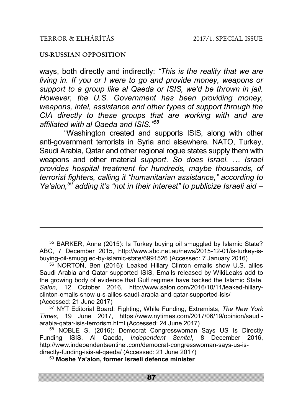-

#### **US-RUSSIAN OPPOSITION**

ways, both directly and indirectly: *"This is the reality that we are living in. If you or I were to go and provide money, weapons or support to a group like al Qaeda or ISIS, we'd be thrown in jail. However, the U.S. Government has been providing money, weapons, intel, assistance and other types of support through the CIA directly to these groups that are working with and are affiliated with al Qaeda and ISIS."<sup>58</sup>*

"Washington created and supports ISIS, along with other anti-government terrorists in Syria and elsewhere. NATO, Turkey, Saudi Arabia, Qatar and other regional rogue states supply them with weapons and other material *support. So does Israel.* … *Israel provides hospital treatment for hundreds, maybe thousands, of terrorist fighters, calling it "humanitarian assistance," according to Ya'alon,<sup>59</sup> adding it's "not in their interest" to publicize Israeli aid –*

<sup>55</sup> BARKER, Anne (2015): Is Turkey buying oil smuggled by Islamic State? ABC, 7 December 2015, http://www.abc.net.au/news/2015-12-01/is-turkey-isbuying-oil-smuggled-by-islamic-state/6991526 (Accessed: 7 January 2016)

<sup>56</sup> NORTON, Ben (2016): Leaked Hillary Clinton emails show U.S. allies Saudi Arabia and Qatar supported ISIS, Emails released by WikiLeaks add to the growing body of evidence that Gulf regimes have backed the Islamic State, *Salon*, 12 October 2016, http://www.salon.com/2016/10/11/leaked-hillaryclinton-emails-show-u-s-allies-saudi-arabia-and-qatar-supported-isis/ (Accessed: 21 June 2017)

<sup>57</sup> NYT Editorial Board: Fighting, While Funding, Extremists, *The New York Times*, 19 June 2017, https://www.nytimes.com/2017/06/19/opinion/saudiarabia-qatar-isis-terrorism.html (Accessed: 24 June 2017)

<sup>58</sup> NOBLE S. (2016): Democrat Congresswoman Says US Is Directly Funding ISIS, Al Qaeda, *Independent Senitel*, 8 December 2016, http://www.independentsentinel.com/democrat-congresswoman-says-us-isdirectly-funding-isis-al-qaeda/ (Accessed: 21 June 2017)

<sup>59</sup> **Moshe Ya'alon, former Israeli defence minister**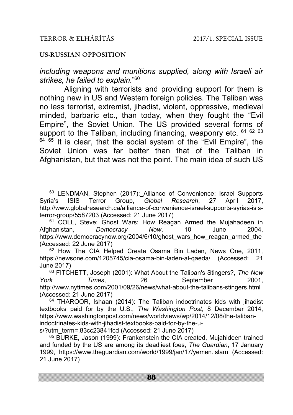-

### **US-RUSSIAN OPPOSITION**

*including weapons and munitions supplied, along with Israeli air strikes, he failed to explain.*" 60

Aligning with terrorists and providing support for them is nothing new in US and Western foreign policies. The Taliban was no less terrorist, extremist, jihadist, violent, oppressive, medieval minded, barbaric etc., than today, when they fought the "Evil Empire", the Soviet Union. The US provided several forms of support to the Taliban, including financing, weaponry etc.  $616263$  $64$   $65$  It is clear, that the social system of the "Evil Empire", the Soviet Union was far better than that of the Taliban in Afghanistan, but that was not the point. The main idea of such US

<sup>60</sup> LENDMAN, Stephen (2017): Alliance of Convenience: Israel Supports Syria's ISIS Terror Group, *Global Research*, 27 April 2017, http://www.globalresearch.ca/alliance-of-convenience-israel-supports-syrias-isisterror-group/5587203 (Accessed: 21 June 2017)

s/?utm\_term=.83cc23841fcd (Accessed: 21 June 2017)

<sup>65</sup> BURKE, Jason (1999): Frankenstein the CIA created, Mujahideen trained and funded by the US are among its deadliest foes, *The Guardian*, 17 January 1999, https://www.theguardian.com/world/1999/jan/17/yemen.islam (Accessed: 21 June 2017)

<sup>&</sup>lt;sup>61</sup> COLL, Steve: Ghost Wars: How Reagan Armed the Mujahadeen in Afghanistan, *Democracy Now*, 10 June 2004, https://www.democracynow.org/2004/6/10/ghost\_wars\_how\_reagan\_armed\_the (Accessed: 22 June 2017)

<sup>&</sup>lt;sup>62</sup> How The CIA Helped Create Osama Bin Laden, News One, 2011, https://newsone.com/1205745/cia-osama-bin-laden-al-qaeda/ (Accessed: 21 June 2017)

<sup>63</sup> FITCHETT, Joseph (2001): What About the Taliban's Stingers?, *The New York Times*, 26 September 2001, http://www.nytimes.com/2001/09/26/news/what-about-the-talibans-stingers.html (Accessed: 21 June 2017)

<sup>&</sup>lt;sup>64</sup> THAROOR, Ishaan (2014): The Taliban indoctrinates kids with jihadist textbooks paid for by the U.S., *The Washington Post*, 8 December 2014, https://www.washingtonpost.com/news/worldviews/wp/2014/12/08/the-talibanindoctrinates-kids-with-jihadist-textbooks-paid-for-by-the-u-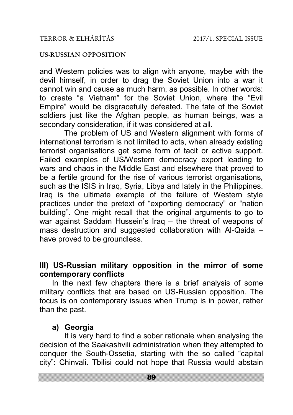and Western policies was to align with anyone, maybe with the devil himself, in order to drag the Soviet Union into a war it cannot win and cause as much harm, as possible. In other words: to create "a Vietnam" for the Soviet Union, where the "Evil Empire" would be disgracefully defeated. The fate of the Soviet soldiers just like the Afghan people, as human beings, was a secondary consideration, if it was considered at all.

The problem of US and Western alignment with forms of international terrorism is not limited to acts, when already existing terrorist organisations get some form of tacit or active support. Failed examples of US/Western democracy export leading to wars and chaos in the Middle East and elsewhere that proved to be a fertile ground for the rise of various terrorist organisations, such as the ISIS in Iraq, Syria, Libya and lately in the Philippines. Iraq is the ultimate example of the failure of Western style practices under the pretext of "exporting democracy" or "nation building". One might recall that the original arguments to go to war against Saddam Hussein's Iraq – the threat of weapons of mass destruction and suggested collaboration with Al-Qaida – have proved to be groundless.

# **III) US-Russian military opposition in the mirror of some contemporary conflicts**

In the next few chapters there is a brief analysis of some military conflicts that are based on US-Russian opposition. The focus is on contemporary issues when Trump is in power, rather than the past.

# **a) Georgia**

It is very hard to find a sober rationale when analysing the decision of the Saakashvili administration when they attempted to conquer the South-Ossetia, starting with the so called "capital city": Chinvali. Tbilisi could not hope that Russia would abstain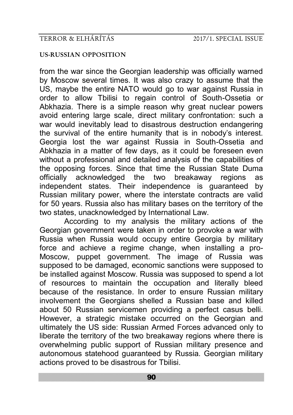### **US-RUSSIAN OPPOSITION**

from the war since the Georgian leadership was officially warned by Moscow several times. It was also crazy to assume that the US, maybe the entire NATO would go to war against Russia in order to allow Tbilisi to regain control of South-Ossetia or Abkhazia. There is a simple reason why great nuclear powers avoid entering large scale, direct military confrontation: such a war would inevitably lead to disastrous destruction endangering the survival of the entire humanity that is in nobody's interest. Georgia lost the war against Russia in South-Ossetia and Abkhazia in a matter of few days, as it could be foreseen even without a professional and detailed analysis of the capabilities of the opposing forces. Since that time the Russian State Duma officially acknowledged the two breakaway regions as independent states. Their independence is quaranteed by Russian military power, where the interstate contracts are valid for 50 years. Russia also has military bases on the territory of the two states, unacknowledged by International Law.

According to my analysis the military actions of the Georgian government were taken in order to provoke a war with Russia when Russia would occupy entire Georgia by military force and achieve a regime change, when installing a pro-Moscow, puppet government. The image of Russia was supposed to be damaged, economic sanctions were supposed to be installed against Moscow. Russia was supposed to spend a lot of resources to maintain the occupation and literally bleed because of the resistance. In order to ensure Russian military involvement the Georgians shelled a Russian base and killed about 50 Russian servicemen providing a perfect casus belli. However, a strategic mistake occurred on the Georgian and ultimately the US side: Russian Armed Forces advanced only to liberate the territory of the two breakaway regions where there is overwhelming public support of Russian military presence and autonomous statehood guaranteed by Russia. Georgian military actions proved to be disastrous for Tbilisi.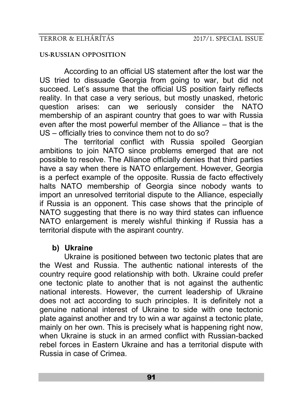## **US-RUSSIAN OPPOSITION**

According to an official US statement after the lost war the US tried to dissuade Georgia from going to war, but did not succeed. Let's assume that the official US position fairly reflects reality. In that case a very serious, but mostly unasked, rhetoric question arises: can we seriously consider the NATO membership of an aspirant country that goes to war with Russia even after the most powerful member of the Alliance – that is the US – officially tries to convince them not to do so?

The territorial conflict with Russia spoiled Georgian ambitions to join NATO since problems emerged that are not possible to resolve. The Alliance officially denies that third parties have a say when there is NATO enlargement. However, Georgia is a perfect example of the opposite. Russia de facto effectively halts NATO membership of Georgia since nobody wants to import an unresolved territorial dispute to the Alliance, especially if Russia is an opponent. This case shows that the principle of NATO suggesting that there is no way third states can influence NATO enlargement is merely wishful thinking if Russia has a territorial dispute with the aspirant country.

# **b) Ukraine**

Ukraine is positioned between two tectonic plates that are the West and Russia. The authentic national interests of the country require good relationship with both. Ukraine could prefer one tectonic plate to another that is not against the authentic national interests. However, the current leadership of Ukraine does not act according to such principles. It is definitely not a genuine national interest of Ukraine to side with one tectonic plate against another and try to win a war against a tectonic plate, mainly on her own. This is precisely what is happening right now, when Ukraine is stuck in an armed conflict with Russian-backed rebel forces in Eastern Ukraine and has a territorial dispute with Russia in case of Crimea.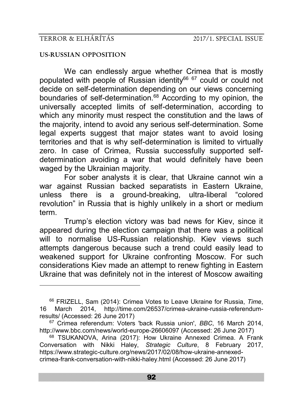<u>.</u>

#### **US-RUSSIAN OPPOSITION**

We can endlessly argue whether Crimea that is mostly populated with people of Russian identity<sup>66 67</sup> could or could not decide on self-determination depending on our views concerning boundaries of self-determination.<sup>68</sup> According to my opinion, the universally accepted limits of self-determination, according to which any minority must respect the constitution and the laws of the majority, intend to avoid any serious self-determination. Some legal experts suggest that major states want to avoid losing territories and that is why self-determination is limited to virtually zero. In case of Crimea, Russia successfully supported selfdetermination avoiding a war that would definitely have been waged by the Ukrainian majority.

For sober analysts it is clear, that Ukraine cannot win a war against Russian backed separatists in Eastern Ukraine, unless there is a ground-breaking, ultra-liberal "colored revolution" in Russia that is highly unlikely in a short or medium term.

Trump's election victory was bad news for Kiev, since it appeared during the election campaign that there was a political will to normalise US-Russian relationship. Kiev views such attempts dangerous because such a trend could easily lead to weakened support for Ukraine confronting Moscow. For such considerations Kiev made an attempt to renew fighting in Eastern Ukraine that was definitely not in the interest of Moscow awaiting

<sup>66</sup> FRIZELL, Sam (2014): Crimea Votes to Leave Ukraine for Russia, *Time*, 16 March 2014, http://time.com/26537/crimea-ukraine-russia-referendumresults/ (Accessed: 26 June 2017)

<sup>67</sup> Crimea referendum: Voters 'back Russia union', *BBC*, 16 March 2014, http://www.bbc.com/news/world-europe-26606097 (Accessed: 26 June 2017)

<sup>68</sup> TSUKANOVA, Arina (2017): How Ukraine Annexed Crimea. A Frank Conversation with Nikki Haley, *Strategic Culture*, 8 February 2017, https://www.strategic-culture.org/news/2017/02/08/how-ukraine-annexedcrimea-frank-conversation-with-nikki-haley.html (Accessed: 26 June 2017)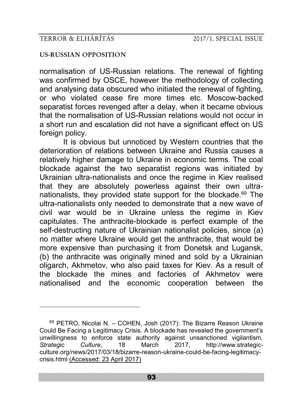<u>.</u>

### **US-RUSSIAN OPPOSITION**

normalisation of US-Russian relations. The renewal of fighting was confirmed by OSCE, however the methodology of collecting and analysing data obscured who initiated the renewal of fighting, or who violated cease fire more times etc. Moscow-backed separatist forces revenged after a delay, when it became obvious that the normalisation of US-Russian relations would not occur in a short run and escalation did not have a significant effect on US foreign policy.

It is obvious but unnoticed by Western countries that the deterioration of relations between Ukraine and Russia causes a relatively higher damage to Ukraine in economic terms. The coal blockade against the two separatist regions was initiated by Ukrainian ultra-nationalists and once the regime in Kiev realised that they are absolutely powerless against their own ultranationalists, they provided state support for the blockade.<sup>69</sup> The ultra-nationalists only needed to demonstrate that a new wave of civil war would be in Ukraine unless the regime in Kiev capitulates. The anthracite-blockade is perfect example of the self-destructing nature of Ukrainian nationalist policies, since (a) no matter where Ukraine would get the anthracite, that would be more expensive than purchasing it from Donetsk and Lugansk, (b) the anthracite was originally mined and sold by a Ukrainian oligarch, Akhmetov, who also paid taxes for Kiev. As a result of the blockade the mines and factories of Akhmetov were nationalised and the economic cooperation between the

<sup>69</sup> PETRO, Nicolai N. – COHEN, Josh (2017): The Bizarre Reason Ukraine Could Be Facing a Legitimacy Crisis. A blockade has revealed the government's unwillingness to enforce state authority against unsanctioned vigilantism, *Strategic Culture*, 18 March 2017, http://www.strategicculture.org/news/2017/03/18/bizarre-reason-ukraine-could-be-facing-legitimacycrisis.html (Accessed: 23 April 2017)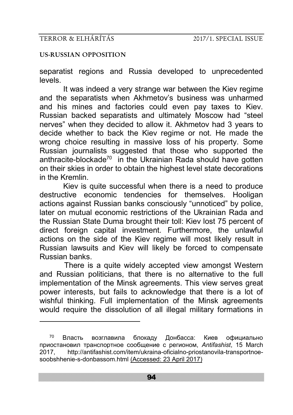-

### **US-RUSSIAN OPPOSITION**

separatist regions and Russia developed to unprecedented levels.

It was indeed a very strange war between the Kiev regime and the separatists when Akhmetov's business was unharmed and his mines and factories could even pay taxes to Kiev. Russian backed separatists and ultimately Moscow had "steel nerves" when they decided to allow it. Akhmetov had 3 years to decide whether to back the Kiev regime or not. He made the wrong choice resulting in massive loss of his property. Some Russian journalists suggested that those who supported the anthracite-blockade<sup>70</sup> in the Ukrainian Rada should have gotten on their skies in order to obtain the highest level state decorations in the Kremlin.

Kiev is quite successful when there is a need to produce destructive economic tendencies for themselves. Hooligan actions against Russian banks consciously "unnoticed" by police, later on mutual economic restrictions of the Ukrainian Rada and the Russian State Duma brought their toll: Kiev lost 75 percent of direct foreign capital investment. Furthermore, the unlawful actions on the side of the Kiev regime will most likely result in Russian lawsuits and Kiev will likely be forced to compensate Russian banks.

There is a quite widely accepted view amongst Western and Russian politicians, that there is no alternative to the full implementation of the Minsk agreements. This view serves great power interests, but fails to acknowledge that there is a lot of wishful thinking. Full implementation of the Minsk agreements would require the dissolution of all illegal military formations in

<sup>70</sup> Власть возглавила блокаду Донбасса: Киев официально приостановил транспортное сообщение с регионом, *Antifashist*, 15 March 2017, http://antifashist.com/item/ukraina-oficialno-priostanovila-transportnoesoobshhenie-s-donbassom.html (Accessed: 23 April 2017)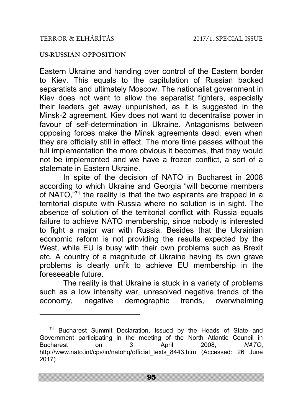-

### **US-RUSSIAN OPPOSITION**

Eastern Ukraine and handing over control of the Eastern border to Kiev. This equals to the capitulation of Russian backed separatists and ultimately Moscow. The nationalist government in Kiev does not want to allow the separatist fighters, especially their leaders get away unpunished, as it is suggested in the Minsk-2 agreement. Kiev does not want to decentralise power in favour of self-determination in Ukraine. Antagonisms between opposing forces make the Minsk agreements dead, even when they are officially still in effect. The more time passes without the full implementation the more obvious it becomes, that they would not be implemented and we have a frozen conflict, a sort of a stalemate in Eastern Ukraine.

In spite of the decision of NATO in Bucharest in 2008 according to which Ukraine and Georgia "will become members of NATO,"<sup>71</sup> the reality is that the two aspirants are trapped in a territorial dispute with Russia where no solution is in sight. The absence of solution of the territorial conflict with Russia equals failure to achieve NATO membership, since nobody is interested to fight a major war with Russia. Besides that the Ukrainian economic reform is not providing the results expected by the West, while EU is busy with their own problems such as Brexit etc. A country of a magnitude of Ukraine having its own grave problems is clearly unfit to achieve EU membership in the foreseeable future.

The reality is that Ukraine is stuck in a variety of problems such as a low intensity war, unresolved negative trends of the economy, negative demographic trends, overwhelming

<sup>71</sup> Bucharest Summit Declaration, Issued by the Heads of State and Government participating in the meeting of the North Atlantic Council in Bucharest on 3 April 2008, *NATO*, http://www.nato.int/cps/in/natohq/official\_texts\_8443.htm (Accessed: 26 June 2017)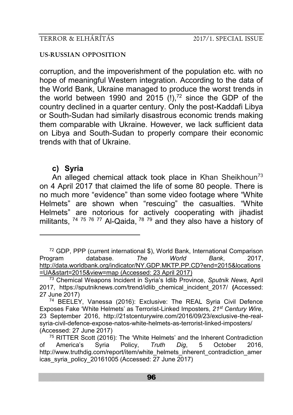#### **US-RUSSIAN OPPOSITION**

corruption, and the impoverishment of the population etc. with no hope of meaningful Western integration. According to the data of the World Bank, Ukraine managed to produce the worst trends in the world between 1990 and  $2015$  (!),<sup>72</sup> since the GDP of the country declined in a quarter century. Only the post-Kaddafi Libya or South-Sudan had similarly disastrous economic trends making them comparable with Ukraine. However, we lack sufficient data on Libya and South-Sudan to properly compare their economic trends with that of Ukraine.

# **c) Syria**

-

An alleged chemical attack took place in Khan Sheikhoun<sup>73</sup> on 4 April 2017 that claimed the life of some 80 people. There is no much more "evidence" than some video footage where "White Helmets" are shown when "rescuing" the casualties. "White Helmets" are notorious for actively cooperating with jihadist militants, <sup>74 75 76</sup> <sup>77</sup> Al-Qaida, <sup>78 79</sup> and they also have a history of

<sup>&</sup>lt;sup>72</sup> GDP, PPP (current international \$), World Bank, International Comparison<br>Program database. The World Bank. 2017. Program database. *The World Bank*, 2017, [http://data.worldbank.org/indicator/NY.GDP.MKTP.PP.CD?end=2015&locations](http://data.worldbank.org/indicator/NY.GDP.MKTP.PP.CD?end=2015&locations=UA&start=2015&view=map) [=UA&start=2015&view=map](http://data.worldbank.org/indicator/NY.GDP.MKTP.PP.CD?end=2015&locations=UA&start=2015&view=map) (Accessed: 23 April 2017)

<sup>73</sup> Chemical Weapons Incident in Syria's Idlib Province, *Sputnik News*, April 2017, https://sputniknews.com/trend/idlib\_chemical\_incident\_2017/ **(**Accessed: 27 June 2017)

<sup>74</sup> BEELEY, Vanessa (2016): Exclusive: The REAL Syria Civil Defence Exposes Fake 'White Helmets' as Terrorist-Linked Imposters, *21st Century Wire*, 23 September 2016, http://21stcenturywire.com/2016/09/23/exclusive-the-realsyria-civil-defence-expose-natos-white-helmets-as-terrorist-linked-imposters/ (Accessed: 27 June 2017)

 $75$  RITTER Scott (2016): The 'White Helmets' and the Inherent Contradiction of America's Syria Policy, *Truth Dig*, 5 October 2016, http://www.truthdig.com/report/item/white\_helmets\_inherent\_contradiction\_amer icas\_syria\_policy\_20161005 (Accessed:  $27$  June  $2017$ )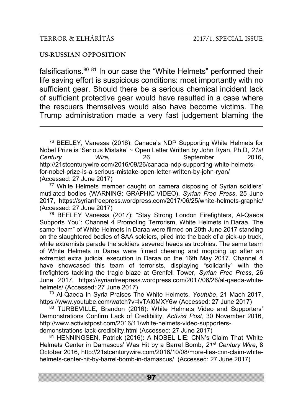-

#### **US-RUSSIAN OPPOSITION**

falsifications. $80 81$  In our case the "White Helmets" performed their life saving effort is suspicious conditions: most importantly with no sufficient gear. Should there be a serious chemical incident lack of sufficient protective gear would have resulted in a case where the rescuers themselves would also have become victims. The Trump administration made a very fast judgement blaming the

<sup>77</sup> White Helmets member caught on camera disposing of Syrian soldiers' mutilated bodies (WARNING: GRAPHIC VIDEO), *Syrian Free Press*, 25 June 2017, https://syrianfreepress.wordpress.com/2017/06/25/white-helmets-graphic/ (Accessed: 27 June 2017)

<sup>78</sup> BEELEY Vanessa (2017): "Stay Strong London Firefighters, Al-Qaeda Supports You": Channel 4 Promoting Terrorism, White Helmets in Daraa, The same "team" of White Helmets in Daraa were filmed on 20th June 2017 standing on the slaughtered bodies of SAA soldiers, piled into the back of a pick-up truck, while extremists parade the soldiers severed heads as trophies. The same team of White Helmets in Daraa were filmed cheering and mopping up after an extremist extra judicial execution in Daraa on the 16th May 2017. Channel 4 have showcased this team of terrorists, displaying "solidarity" with the firefighters tackling the tragic blaze at Grenfell Tower, *Syrian Free Press*, 26 June 2017, https://syrianfreepress.wordpress.com/2017/06/26/al-qaeda-whitehelmets/ (Accessed: 27 June 2017)

<sup>79</sup> Al-Qaeda In Syria Praises The White Helmets, *Youtube*, 21 Mach 2017, https://www.youtube.com/watch?v=lvTAi0MXY6w (Accessed: 27 June 2017)

80 TURBEVILLE, Brandon (2016): White Helmets Video and Supporters' Demonstrations Confirm Lack of Credibility, *Activist Post*, 30 November 2016, http://www.activistpost.com/2016/11/white-helmets-video-supportersdemonstrations-lack-credibility.html (Accessed: 27 June 2017)

<sup>81</sup> HENNINGSEN, Patrick (2016)**:** A NOBEL LIE: CNN's Claim That 'White Helmets Center in Damascus' Was Hit by a Barrel Bomb, *21st [Century Wire](http://wp.me/p3bwni-kph)***,** 8 October 2016, http://21stcenturywire.com/2016/10/08/more-lies-cnn-claim-whitehelmets-center-hit-by-barrel-bomb-in-damascus/ (Accessed: 27 June 2017)

<sup>76</sup> BEELEY, Vanessa (2016): Canada's NDP Supporting White Helmets for Nobel Prize is 'Serious Mistake' ~ Open Letter Written by John Ryan, Ph.D, *21st Century Wire***,** 26 September 2016, http://21stcenturywire.com/2016/09/26/canada-ndp-supporting-white-helmetsfor-nobel-prize-is-a-serious-mistake-open-letter-written-by-john-ryan/ (Accessed: 27 June 2017)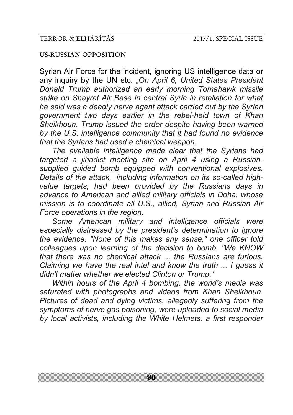### **US-RUSSIAN OPPOSITION**

Syrian Air Force for the incident, ignoring US intelligence data or any inquiry by the UN etc. *"On April 6, United States President Donald Trump authorized an early morning Tomahawk missile strike on Shayrat Air Base in central Syria in retaliation for what he said was a deadly nerve agent attack carried out by the Syrian government two days earlier in the rebel-held town of Khan Sheikhoun. Trump issued the order despite having been warned by the U.S. intelligence community that it had found no evidence that the Syrians had used a chemical weapon.*

*The available intelligence made clear that the Syrians had targeted a jihadist meeting site on April 4 using a Russiansupplied guided bomb equipped with conventional explosives. Details of the attack, including information on its so-called highvalue targets, had been provided by the Russians days in advance to American and allied military officials in Doha, whose mission is to coordinate all U.S., allied, Syrian and Russian Air Force operations in the region.*

*Some American military and intelligence officials were especially distressed by the president's determination to ignore the evidence. "None of this makes any sense," one officer told colleagues upon learning of the decision to bomb. "We KNOW that there was no chemical attack ... the Russians are furious. Claiming we have the real intel and know the truth ... I guess it didn't matter whether we elected Clinton or Trump*."

*Within hours of the April 4 bombing, the world's media was saturated with photographs and videos from Khan Sheikhoun. Pictures of dead and dying victims, allegedly suffering from the symptoms of nerve gas poisoning, were uploaded to social media by local activists, including the White Helmets, a first responder*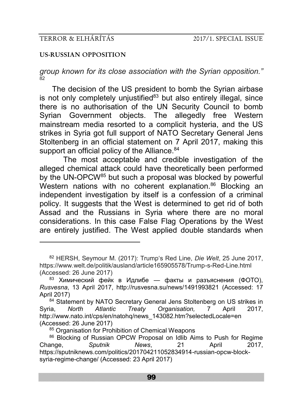-

### **US-RUSSIAN OPPOSITION**

*group known for its close association with the Syrian opposition."* 82

The decision of the US president to bomb the Syrian airbase is not only completely unjustified $83$  but also entirely illegal, since there is no authorisation of the UN Security Council to bomb Syrian Government objects. The allegedly free Western mainstream media resorted to a complicit hysteria, and the US strikes in Syria got full support of NATO Secretary General Jens Stoltenberg in an official statement on 7 April 2017, making this support an official policy of the Alliance.<sup>84</sup>

The most acceptable and credible investigation of the alleged chemical attack could have theoretically been performed by the UN-OPCW<sup>85</sup> but such a proposal was blocked by powerful Western nations with no coherent explanation.<sup>86</sup> Blocking an independent investigation by itself is a confession of a criminal policy. It suggests that the West is determined to get rid of both Assad and the Russians in Syria where there are no moral considerations. In this case False Flag Operations by the West are entirely justified. The West applied double standards when

<sup>82</sup> HERSH, Seymour M. (2017): Trump's Red Line, *Die Welt*, 25 June 2017, https://www.welt.de/politik/ausland/article165905578/Trump-s-Red-Line.html (Accessed: 26 June 2017)

<sup>&</sup>lt;sup>83</sup> Химический фейк в Идлибе — факты и разъяснения (ФОТО), *Rusvesna*, 13 April 2017, http://rusvesna.su/news/1491993821 (Accessed: 17 April 2017)

<sup>84</sup> Statement by NATO Secretary General Jens Stoltenberg on US strikes in Syria, *North Atlantic Treaty Organisation,* 7 April 2017, http://www.nato.int/cps/en/natohq/news\_143082.htm?selectedLocale=en (Accessed: 26 June 2017)

<sup>85</sup> Organisation for Prohibition of Chemical Weapons

<sup>86</sup> Blocking of Russian OPCW Proposal on Idlib Aims to Push for Regime Change, *Sputnik News*, 21 April 2017, https://sputniknews.com/politics/201704211052834914-russian-opcw-blocksyria-regime-change/ (Accessed: 23 April 2017)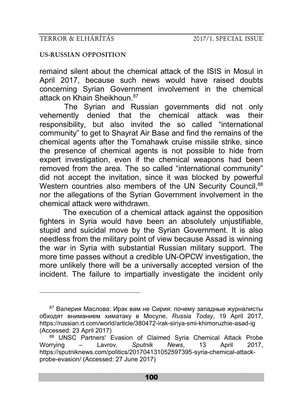<u>.</u>

### **US-RUSSIAN OPPOSITION**

remaind silent about the chemical attack of the ISIS in Mosul in April 2017, because such news would have raised doubts concerning Syrian Government involvement in the chemical attack on Khain Sheikhoun.<sup>87</sup>

The Syrian and Russian governments did not only vehemently denied that the chemical attack was their responsibility, but also invited the so called "international community" to get to Shayrat Air Base and find the remains of the chemical agents after the Tomahawk cruise missile strike, since the presence of chemical agents is not possible to hide from expert investigation, even if the chemical weapons had been removed from the area. The so called "international community" did not accept the invitation, since it was blocked by powerful Western countries also members of the UN Security Council.<sup>88</sup> nor the allegations of the Syrian Government involvement in the chemical attack were withdrawn.

The execution of a chemical attack against the opposition fighters in Syria would have been an absolutely unjustifiable, stupid and suicidal move by the Syrian Government. It is also needless from the military point of view because Assad is winning the war in Syria with substantial Russian military support. The more time passes without a credible UN-OPCW investigation, the more unlikely there will be a universally accepted version of the incident. The failure to impartially investigate the incident only

<sup>87</sup> Валерия Маслова: Ирак вам не Сирия: почему западные журналисты обходят вниманием химатаку в Мосуле, *Russia Today*, 19 April 2017, https://russian.rt.com/world/article/380472-irak-siriya-smi-khimoruzhie-asad-ig (Accessed: 23 April 2017)

<sup>88</sup> UNSC Partners' Evasion of Claimed Syria Chemical Attack Probe Worrying – Lavrov, *Sputnik News*, 13 April 2017, https://sputniknews.com/politics/201704131052597395-syria-chemical-attackprobe-evasion/ (Accessed: 27 June 2017)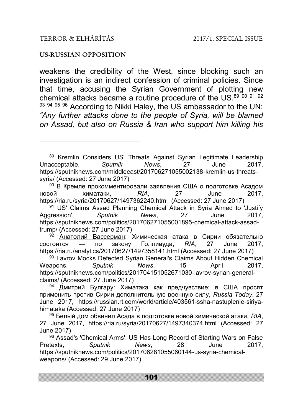-

### **US-RUSSIAN OPPOSITION**

weakens the credibility of the West, since blocking such an investigation is an indirect confession of criminal policies. Since that time, accusing the Syrian Government of plotting new chemical attacks became a routine procedure of the US. $89\,$   $89\,$   $91\,$   $92\,$ 93 94 95 96 According to Nikki Haley, the US ambassador to the UN: *"Any further attacks done to the people of Syria, will be blamed on Assad, but also on Russia & Iran who support him killing his* 

<sup>92</sup> [Анатолий Вассерман](https://ria.ru/authors/wasserman/): Химическая атака в Сирии обязательно состоится — по закону Голливуда, *RIA*, 27 June 2017, https://ria.ru/analytics/20170627/1497358141.html (Accessed: 27 June 2017)

<sup>93</sup> Lavrov Mocks Defected Syrian General's Claims About Hidden Chemical<br>
apons. Soutnik Mews. 15 April 2017. Weapons, *Sputnik News*, 15 April 2017, https://sputniknews.com/politics/201704151052671030-lavrov-syrian-generalclaims/ (Accessed: 27 June 2017)

<sup>94</sup> Дмитрий Булгару: Химатака как предчувствие: в США просят применить против Сирии дополнительную военную силу, *Russia Today*, 27 June 2017, https://russian.rt.com/world/article/403561-ssha-nastuplenie-siriyahimataka (Accessed: 27 June 2017)

<sup>95</sup> Белый дом обвинил Асада в подготовке новой химической атаки, *RIA*, 27 June 2017, https://ria.ru/syria/20170627/1497340374.html (Accessed: 27 June 2017)

<sup>96</sup> Assad's 'Chemical Arms': US Has Long Record of Starting Wars on False Pretexts, *Sputnik News*, 28 June 2017, https://sputniknews.com/politics/201706281055060144-us-syria-chemicalweapons/ (Accessed: 29 June 2017)

<sup>&</sup>lt;sup>89</sup> Kremlin Considers US' Threats Against Syrian Legitimate Leadership<br>Acceptable Sputnik News 27 June 2017 Unacceptable, *Sputnik News*, 27 June 2017, https://sputniknews.com/middleeast/201706271055002138-kremlin-us-threatssyria/ (Accessed: 27 June 2017)

<sup>90</sup> В Кремле прокомментировали заявления США о подготовке Асадом новой химатаки, *RIA*, 27 June 2017, https://ria.ru/syria/20170627/1497362240.html (Accessed: 27 June 2017)

<sup>&</sup>lt;sup>91</sup> US' Claims Assad Planning Chemical Attack in Syria Aimed to 'Justify Aggression', *Sputnik News*, 27 June 2017, https://sputniknews.com/politics/201706271055001895-chemical-attack-assadtrump/ (Accessed: 27 June 2017)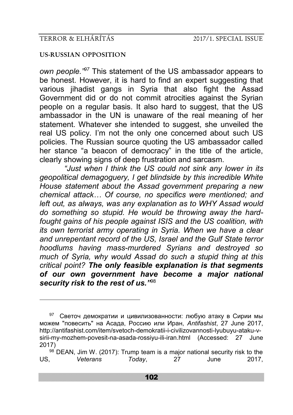-

## **US-RUSSIAN OPPOSITION**

*own people."<sup>97</sup>* This statement of the US ambassador appears to be honest. However, it is hard to find an expert suggesting that various jihadist gangs in Syria that also fight the Assad Government did or do not commit atrocities against the Syrian people on a regular basis. It also hard to suggest, that the US ambassador in the UN is unaware of the real meaning of her statement. Whatever she intended to suggest, she unveiled the real US policy. I'm not the only one concerned about such US policies. The Russian source quoting the US ambassador called her stance "a beacon of democracy" in the title of the article, clearly showing signs of deep frustration and sarcasm.

*"Just when I think the US could not sink any lower in its geopolitical demagoguery, I get blindside by this incredible White House statement about the Assad government preparing a new chemical attack… Of course, no specifics were mentioned; and left out, as always, was any explanation as to WHY Assad would do something so stupid. He would be throwing away the hardfought gains of his people against ISIS and the US coalition, with its own terrorist army operating in Syria. When we have a clear and unrepentant record of the US, Israel and the Gulf State terror hoodlums having mass-murdered Syrians and destroyed so much of Syria, why would Assad do such a stupid thing at this critical point? The only feasible explanation is that segments of our own government have become a major national security risk to the rest of us."*<sup>98</sup>

<sup>&</sup>lt;sup>97</sup> Светоч демократии и цивилизованности: любую атаку в Сирии мы можем "повесить" на Асада, Россию или Иран, *Antifashist*, 27 June 2017, http://antifashist.com/item/svetoch-demokratii-i-civilizovannosti-lyubuyu-ataku-vsirii-my-mozhem-povesit-na-asada-rossiyu-ili-iran.html (Accessed: 27 June 2017)

 $98$  DEAN, Jim W. (2017): Trump team is a major national security risk to the US, *Veterans Today*, 27 June 2017,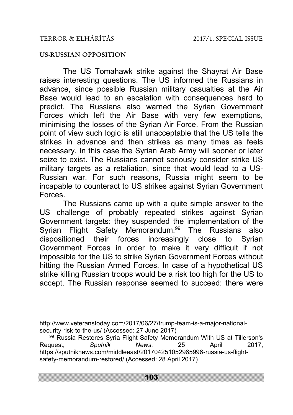<u>.</u>

### **US-RUSSIAN OPPOSITION**

The US Tomahawk strike against the Shayrat Air Base raises interesting questions. The US informed the Russians in advance, since possible Russian military casualties at the Air Base would lead to an escalation with consequences hard to predict. The Russians also warned the Syrian Government Forces which left the Air Base with very few exemptions, minimising the losses of the Syrian Air Force. From the Russian point of view such logic is still unacceptable that the US tells the strikes in advance and then strikes as many times as feels necessary. In this case the Syrian Arab Army will sooner or later seize to exist. The Russians cannot seriously consider strike US military targets as a retaliation, since that would lead to a US-Russian war. For such reasons, Russia might seem to be incapable to counteract to US strikes against Syrian Government Forces.

The Russians came up with a quite simple answer to the US challenge of probably repeated strikes against Syrian Government targets: they suspended the implementation of the Syrian Flight Safety Memorandum.<sup>99</sup> The Russians also dispositioned their forces increasingly close to Syrian Government Forces in order to make it very difficult if not impossible for the US to strike Syrian Government Forces without hitting the Russian Armed Forces. In case of a hypothetical US strike killing Russian troops would be a risk too high for the US to accept. The Russian response seemed to succeed: there were

http://www.veteranstoday.com/2017/06/27/trump-team-is-a-major-nationalsecurity-risk-to-the-us/ (Accessed: 27 June 2017)

<sup>&</sup>lt;sup>99</sup> Russia Restores Syria Flight Safety Memorandum With US at Tillerson's<br>quest, Sputnik Mews, 25 April 2017. Request, *Sputnik News*, 25 April 2017, https://sputniknews.com/middleeast/201704251052965996-russia-us-flightsafety-memorandum-restored/ (Accessed: 28 April 2017)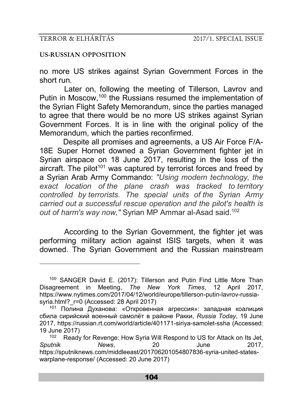-

### **US-RUSSIAN OPPOSITION**

no more US strikes against Syrian Government Forces in the short run.

Later on, following the meeting of Tillerson, Lavrov and Putin in Moscow,<sup>100</sup> the Russians resumed the implementation of the Syrian Flight Safety Memorandum, since the parties managed to agree that there would be no more US strikes against Syrian Government Forces. It is in line with the original policy of the Memorandum, which the parties reconfirmed.

Despite all promises and agreements, a US Air Force F/A-18E Super Hornet downed a Syrian Government fighter jet in Syrian airspace on 18 June 2017, resulting in the loss of the aircraft. The pilot<sup>101</sup> was captured by terrorist forces and freed by a Syrian Arab Army Commando: *"Using modern technology, the exact location of the plane crash was tracked to territory controlled by terrorists. The special units of the Syrian Army carried out a successful rescue operation and the pilot's health is out of harm's way now,"* Syrian MP Ammar al-Asad said.<sup>102</sup>

According to the Syrian Government, the fighter jet was performing military action against ISIS targets, when it was downed. The Syrian Government and the Russian mainstream

<sup>100</sup> SANGER David E. (2017): Tillerson and Putin Find Little More Than Disagreement in Meeting, *The New York Times*, 12 April 2017, https://www.nytimes.com/2017/04/12/world/europe/tillerson-putin-lavrov-russiasyria.html? r=0 (Accessed: 28 April 2017)

<sup>101</sup> Полина Духанова: «Откровенная агрессия»: западная коалиция сбила сирийский военный самолёт в районе Ракки, *Russia Today*, 19 June 2017, https://russian.rt.com/world/article/401171-siriya-samolet-ssha (Accessed: 19 June 2017)

<sup>&</sup>lt;sup>102</sup> Ready for Revenge: How Syria Will Respond to US for Attack on Its Jet. *Sputnik News*, 20 June 2017, https://sputniknews.com/middleeast/201706201054807836-syria-united-stateswarplane-response/ (Accessed: 20 June 2017)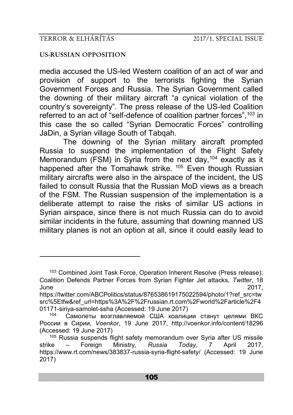-

## **US-RUSSIAN OPPOSITION**

media accused the US-led Western coalition of an act of war and provision of support to the terrorists fighting the Syrian Government Forces and Russia. The Syrian Government called the downing of their military aircraft "a cynical violation of the country's sovereignty". The press release of the US-led Coalition referred to an act of "self-defence of coalition partner forces", 103 in this case the so called "Syrian Democratic Forces" controlling JaDin, a Syrian village South of Tabqah.

The downing of the Syrian military aircraft prompted Russia to suspend the implementation of the Flight Safety Memorandum (FSM) in Syria from the next day, <sup>104</sup> exactly as it happened after the Tomahawk strike.<sup>105</sup> Even though Russian military aircrafts were also in the airspace of the incident, the US failed to consult Russia that the Russian MoD views as a breach of the FSM. The Russian suspension of the implementation is a deliberate attempt to raise the risks of similar US actions in Syrian airspace, since there is not much Russia can do to avoid similar incidents in the future, assuming that downing manned US military planes is not an option at all, since it could easily lead to

<sup>103</sup> Combined Joint Task Force, Operation Inherent Resolve (Press release): Coalition Defends Partner Forces from Syrian Fighter Jet attacks, *Twitter*, 18 June 2017,

https://twitter.com/ABCPolitics/status/876538619175022594/photo/1?ref\_src=tw src%5Etfw&ref\_url=https%3A%2F%2Frussian.rt.com%2Fworld%2Farticle%2F4 01171-siriya-samolet-ssha (Accessed: 19 June 2017)

<sup>104</sup> Самолеты возглавляемой США коалиции станут целями ВКС России в Сирии, *Voenkor*, 19 June 2017, http://voenkor.info/content/18296 (Accessed: 19 June 2017)

<sup>105</sup> Russia suspends flight safety memorandum over Syria after US missile strike – Foreign Ministry, *Russia Today*, 7 April 2017, https://www.rt.com/news/383837-russia-syria-flight-safety/ (Accessed: 19 June 2017)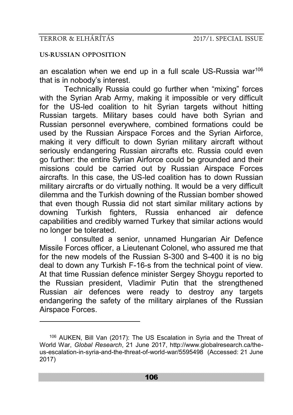-

## **US-RUSSIAN OPPOSITION**

an escalation when we end up in a full scale US-Russia war<sup>106</sup> that is in nobody's interest.

Technically Russia could go further when "mixing" forces with the Syrian Arab Army, making it impossible or very difficult for the US-led coalition to hit Syrian targets without hitting Russian targets. Military bases could have both Syrian and Russian personnel everywhere, combined formations could be used by the Russian Airspace Forces and the Syrian Airforce, making it very difficult to down Syrian military aircraft without seriously endangering Russian aircrafts etc. Russia could even go further: the entire Syrian Airforce could be grounded and their missions could be carried out by Russian Airspace Forces aircrafts. In this case, the US-led coalition has to down Russian military aircrafts or do virtually nothing. It would be a very difficult dilemma and the Turkish downing of the Russian bomber showed that even though Russia did not start similar military actions by downing Turkish fighters, Russia enhanced air defence capabilities and credibly warned Turkey that similar actions would no longer be tolerated.

I consulted a senior, unnamed Hungarian Air Defence Missile Forces officer, a Lieutenant Colonel, who assured me that for the new models of the Russian S-300 and S-400 it is no big deal to down any Turkish F-16-s from the technical point of view. At that time Russian defence minister Sergey Shoygu reported to the Russian president, Vladimir Putin that the strengthened Russian air defences were ready to destroy any targets endangering the safety of the military airplanes of the Russian Airspace Forces.

<sup>106</sup> AUKEN, Bill Van (2017): The US Escalation in Syria and the Threat of World War, *Global Research*, 21 June 2017, http://www.globalresearch.ca/theus-escalation-in-syria-and-the-threat-of-world-war/5595498 (Accessed: 21 June 2017)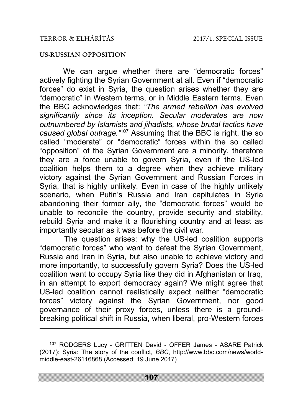<u>.</u>

### **US-RUSSIAN OPPOSITION**

We can argue whether there are "democratic forces" actively fighting the Syrian Government at all. Even if "democratic forces" do exist in Syria, the question arises whether they are "democratic" in Western terms, or in Middle Eastern terms. Even the BBC acknowledges that: *"The armed rebellion has evolved significantly since its inception. Secular moderates are now outnumbered by Islamists and jihadists, whose brutal tactics have caused global outrage."*<sup>107</sup> Assuming that the BBC is right, the so called "moderate" or "democratic" forces within the so called "opposition" of the Syrian Government are a minority, therefore they are a force unable to govern Syria, even if the US-led coalition helps them to a degree when they achieve military victory against the Syrian Government and Russian Forces in Syria, that is highly unlikely. Even in case of the highly unlikely scenario, when Putin's Russia and Iran capitulates in Syria abandoning their former ally, the "democratic forces" would be unable to reconcile the country, provide security and stability, rebuild Syria and make it a flourishing country and at least as importantly secular as it was before the civil war.

The question arises: why the US-led coalition supports "democratic forces" who want to defeat the Syrian Government, Russia and Iran in Syria, but also unable to achieve victory and more importantly, to successfully govern Syria? Does the US-led coalition want to occupy Syria like they did in Afghanistan or Iraq, in an attempt to export democracy again? We might agree that US-led coalition cannot realistically expect neither "democratic forces" victory against the Syrian Government, nor good governance of their proxy forces, unless there is a groundbreaking political shift in Russia, when liberal, pro-Western forces

<sup>107</sup> RODGERS Lucy - GRITTEN David - OFFER James - ASARE Patrick (2017): Syria: The story of the conflict, *BBC*, http://www.bbc.com/news/worldmiddle-east-26116868 (Accessed: 19 June 2017)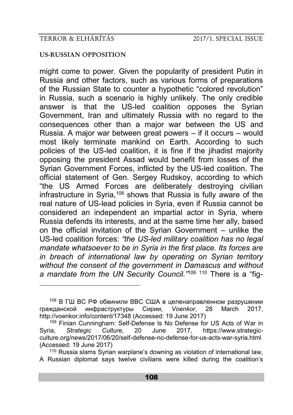<u>.</u>

#### **US-RUSSIAN OPPOSITION**

might come to power. Given the popularity of president Putin in Russia and other factors, such as various forms of preparations of the Russian State to counter a hypothetic "colored revolution" in Russia, such a scenario is highly unlikely. The only credible answer is that the US-led coalition opposes the Syrian Government, Iran and ultimately Russia with no regard to the consequences other than a major war between the US and Russia. A major war between great powers – if it occurs – would most likely terminate mankind on Earth. According to such policies of the US-led coalition, it is fine if the jihadist majority opposing the president Assad would benefit from losses of the Syrian Government Forces, inflicted by the US-led coalition. The official statement of Gen. Sergey Rudskoy, according to which "the US Armed Forces are deliberately destroying civilian infrastructure in Syria,<sup>108</sup> shows that Russia is fully aware of the real nature of US-lead policies in Syria, even if Russia cannot be considered an independent an impartial actor in Syria, where Russia defends its interests, and at the same time her ally, based on the official invitation of the Syrian Government – unlike the US-led coalition forces: *"the US-led military coalition has no legal mandate whatsoever to be in Syria in the first place. Its forces are in breach of international law by operating on Syrian territory without the consent of the government in Damascus and without a mandate from the UN Security Council."*<sup>109</sup> <sup>110</sup> There is a "fig-

<sup>108</sup> В ГШ ВС РФ обвинили ВВС США в целенаправленном разрушении гражданской инфраструктуры Сирии, *Voenkor*, 28 March 2017, http://voenkor.info/content/17348 (Accessed: 19 June 2017)

<sup>&</sup>lt;sup>109</sup> Finian Cunningham: Self-Defense Is No Defense for US Acts of War in<br>ia. Strategic Culture. 20 June 2017. https://www.strategic-Syria, *Strategic Culture*, 20 June 2017, https://www.strategicculture.org/news/2017/06/20/self-defense-no-defense-for-us-acts-war-syria.html (Accessed: 19 June 2017)

<sup>&</sup>lt;sup>110</sup> Russia slams Syrian warplane's downing as violation of international law, A Russian diplomat says twelve civilians were killed during the coalition's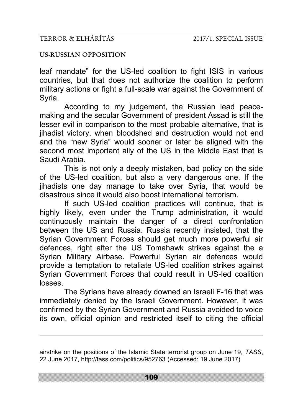-

### **US-RUSSIAN OPPOSITION**

leaf mandate" for the US-led coalition to fight ISIS in various countries, but that does not authorize the coalition to perform military actions or fight a full-scale war against the Government of Syria.

According to my judgement, the Russian lead peacemaking and the secular Government of president Assad is still the lesser evil in comparison to the most probable alternative, that is jihadist victory, when bloodshed and destruction would not end and the "new Syria" would sooner or later be aligned with the second most important ally of the US in the Middle East that is Saudi Arabia.

This is not only a deeply mistaken, bad policy on the side of the US-led coalition, but also a very dangerous one. If the jihadists one day manage to take over Syria, that would be disastrous since it would also boost international terrorism.

If such US-led coalition practices will continue, that is highly likely, even under the Trump administration, it would continuously maintain the danger of a direct confrontation between the US and Russia. Russia recently insisted, that the Syrian Government Forces should get much more powerful air defences, right after the US Tomahawk strikes against the a Syrian Military Airbase. Powerful Syrian air defences would provide a temptation to retaliate US-led coalition strikes against Syrian Government Forces that could result in US-led coalition losses.

The Syrians have already downed an Israeli F-16 that was immediately denied by the Israeli Government. However, it was confirmed by the Syrian Government and Russia avoided to voice its own, official opinion and restricted itself to citing the official

airstrike on the positions of the Islamic State terrorist group on June 19, *TASS*, 22 June 2017, http://tass.com/politics/952763 (Accessed: 19 June 2017)

109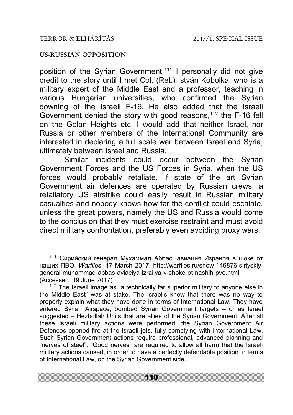-

## **US-RUSSIAN OPPOSITION**

position of the Syrian Government.<sup>111</sup> I personally did not give credit to the story until I met Col. (Ret.) István Kobolka, who is a military expert of the Middle East and a professor, teaching in various Hungarian universities, who confirmed the Syrian downing of the Israeli F-16. He also added that the Israeli Government denied the story with good reasons,<sup>112</sup> the F-16 fell on the Golan Heights etc. I would add that neither Israel, nor Russia or other members of the International Community are interested in declaring a full scale war between Israel and Syria, ultimately between Israel and Russia.

Similar incidents could occur between the Syrian Government Forces and the US Forces in Syria, when the US forces would probably retaliate. If state of the art Syrian Government air defences are operated by Russian crews, a retaliatory US airstrike could easily result in Russian military casualties and nobody knows how far the conflict could escalate, unless the great powers, namely the US and Russia would come to the conclusion that they must exercise restraint and must avoid direct military confrontation, preferably even avoiding proxy wars.

<sup>111</sup> Сирийский генерал Мухаммад Аббас: авиация Израиля в шоке от наших ПВО, *Warfiles*, 17 March 2017, http://warfiles.ru/show-146876-siriyskiygeneral-muhammad-abbas-aviaciya-izrailya-v-shoke-ot-nashih-pvo.html (Accessed: 19 June 2017)

 $112$  The Israeli image as "a technically far superior military to anyone else in the Middle East" was at stake. The Israelis knew that there was no way to properly explain what they have done in terms of International Law. They have entered Syrian Airspace, bombed Syrian Government targets - or as Israel suggested – Hezbollah Units that are allies of the Syrian Government. After all these Israeli military actions were performed, the Syrian Government Air Defences opened fire at the Israeli jets, fully complying with International Law. Such Syrian Government actions require professional, advanced planning and "nerves of steel". "Good nerves" are required to allow all harm that the Israeli military actions caused, in order to have a perfectly defendable position in terms of International Law, on the Syrian Government side.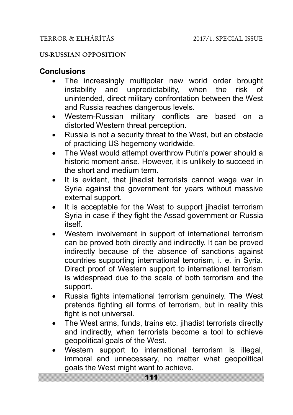## **US-RUSSIAN OPPOSITION**

# **Conclusions**

- The increasingly multipolar new world order brought instability and unpredictability, when the risk of unintended, direct military confrontation between the West and Russia reaches dangerous levels.
- Western-Russian military conflicts are based on a distorted Western threat perception.
- Russia is not a security threat to the West, but an obstacle of practicing US hegemony worldwide.
- The West would attempt overthrow Putin's power should a historic moment arise. However, it is unlikely to succeed in the short and medium term.
- It is evident, that jihadist terrorists cannot wage war in Syria against the government for years without massive external support.
- It is acceptable for the West to support jihadist terrorism Syria in case if they fight the Assad government or Russia itself.
- Western involvement in support of international terrorism can be proved both directly and indirectly. It can be proved indirectly because of the absence of sanctions against countries supporting international terrorism, i. e. in Syria. Direct proof of Western support to international terrorism is widespread due to the scale of both terrorism and the support.
- Russia fights international terrorism genuinely. The West pretends fighting all forms of terrorism, but in reality this fight is not universal.
- The West arms, funds, trains etc. jihadist terrorists directly and indirectly, when terrorists become a tool to achieve geopolitical goals of the West.
- Western support to international terrorism is illegal, immoral and unnecessary, no matter what geopolitical goals the West might want to achieve.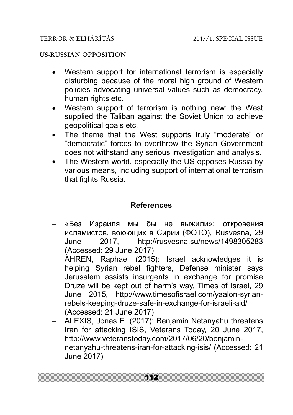## **US-RUSSIAN OPPOSITION**

- Western support for international terrorism is especially disturbing because of the moral high ground of Western policies advocating universal values such as democracy, human rights etc.
- Western support of terrorism is nothing new: the West supplied the Taliban against the Soviet Union to achieve geopolitical goals etc.
- The theme that the West supports truly "moderate" or "democratic" forces to overthrow the Syrian Government does not withstand any serious investigation and analysis.
- The Western world, especially the US opposes Russia by various means, including support of international terrorism that fights Russia.

# **References**

- «Без Израиля мы бы не выжили»: откровения исламистов, воюющих в Сирии (ФОТО), Rusvesna, 29 June 2017, http://rusvesna.su/news/1498305283 (Accessed: 29 June 2017)
- AHREN, Raphael (2015): Israel acknowledges it is helping Syrian rebel fighters, Defense minister says Jerusalem assists insurgents in exchange for promise Druze will be kept out of harm's way, Times of Israel, 29 June 2015, http://www.timesofisrael.com/yaalon-syrianrebels-keeping-druze-safe-in-exchange-for-israeli-aid/ (Accessed: 21 June 2017)
- ALEXIS, Jonas E. (2017): Benjamin Netanyahu threatens Iran for attacking ISIS, Veterans Today, 20 June 2017, http://www.veteranstoday.com/2017/06/20/benjaminnetanyahu-threatens-iran-for-attacking-isis/ (Accessed: 21 June 2017)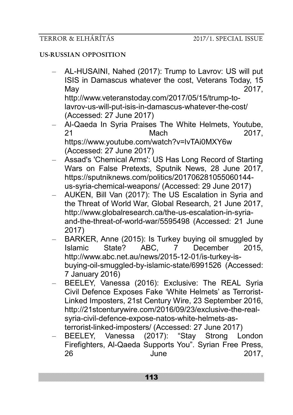## **US-RUSSIAN OPPOSITION**

- AL-HUSAINI, Nahed (2017): Trump to Lavrov: US will put ISIS in Damascus whatever the cost, Veterans Today, 15 May 2017, http://www.veteranstoday.com/2017/05/15/trump-tolavrov-us-will-put-isis-in-damascus-whatever-the-cost/
	- (Accessed: 27 June 2017)
- Al-Qaeda In Syria Praises The White Helmets, Youtube, 21 Mach 2017, https://www.youtube.com/watch?v=lvTAi0MXY6w (Accessed: 27 June 2017)
- Assad's 'Chemical Arms': US Has Long Record of Starting Wars on False Pretexts, Sputnik News, 28 June 2017, https://sputniknews.com/politics/201706281055060144 us-syria-chemical-weapons/ (Accessed: 29 June 2017)
- AUKEN, Bill Van (2017): The US Escalation in Syria and the Threat of World War, Global Research, 21 June 2017, http://www.globalresearch.ca/the-us-escalation-in-syriaand-the-threat-of-world-war/5595498 (Accessed: 21 June 2017)
- BARKER, Anne (2015): Is Turkey buying oil smuggled by Islamic State? ABC, 7 December 2015, http://www.abc.net.au/news/2015-12-01/is-turkey-isbuying-oil-smuggled-by-islamic-state/6991526 (Accessed: 7 January 2016)
- BEELEY, Vanessa (2016): Exclusive: The REAL Syria Civil Defence Exposes Fake 'White Helmets' as Terrorist-Linked Imposters, 21st Century Wire, 23 September 2016, http://21stcenturywire.com/2016/09/23/exclusive-the-realsyria-civil-defence-expose-natos-white-helmets-asterrorist-linked-imposters/ (Accessed: 27 June 2017)
- BEELEY, Vanessa (2017): "Stay Strong London Firefighters, Al-Qaeda Supports You". Syrian Free Press, 26 **June 2017,**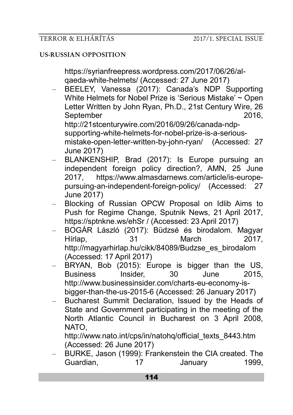https://syrianfreepress.wordpress.com/2017/06/26/alqaeda-white-helmets/ (Accessed: 27 June 2017)

- BEELEY, Vanessa (2017): Canada's NDP Supporting White Helmets for Nobel Prize is 'Serious Mistake' ~ Open Letter Written by John Ryan, Ph.D., 21st Century Wire, 26 September 2016. http://21stcenturywire.com/2016/09/26/canada-ndpsupporting-white-helmets-for-nobel-prize-is-a-seriousmistake-open-letter-written-by-john-ryan/ (Accessed: 27 June 2017)
- BLANKENSHIP, Brad (2017): Is Europe pursuing an independent foreign policy direction?, AMN, 25 June 2017, https://www.almasdarnews.com/article/is-europepursuing-an-independent-foreign-policy/ (Accessed: 27 June 2017)
- Blocking of Russian OPCW Proposal on Idlib Aims to Push for Regime Change, Sputnik News, 21 April 2017, https://sptnkne.ws/ehSr / (Accessed: 23 April 2017)
- BOGÁR László (2017): Büdzsé és birodalom. Magyar Hírlap, 31 March 2017, http://magyarhirlap.hu/cikk/84089/Budzse\_es\_birodalom (Accessed: 17 April 2017)
- BRYAN, Bob (2015): Europe is bigger than the US, Business Insider, 30 June 2015, http://www.businessinsider.com/charts-eu-economy-isbigger-than-the-us-2015-6 (Accessed: 26 January 2017)
- Bucharest Summit Declaration, Issued by the Heads of State and Government participating in the meeting of the North Atlantic Council in Bucharest on 3 April 2008, NATO,

http://www.nato.int/cps/in/natohq/official\_texts\_8443.htm (Accessed: 26 June 2017)

– BURKE, Jason (1999): Frankenstein the CIA created. The Guardian, 17 January 1999,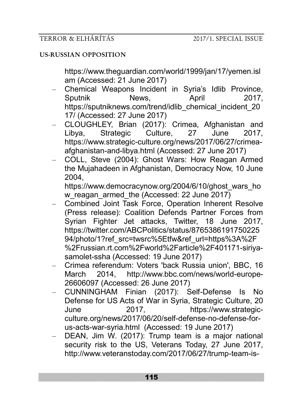https://www.theguardian.com/world/1999/jan/17/yemen.isl am (Accessed: 21 June 2017)

- Chemical Weapons Incident in Syria's Idlib Province, Sputnik News, April 2017, https://sputniknews.com/trend/idlib\_chemical\_incident\_20 17/ (Accessed: 27 June 2017)
- CLOUGHLEY, Brian (2017): Crimea, Afghanistan and Libya, Strategic Culture, 27 June 2017, https://www.strategic-culture.org/news/2017/06/27/crimeaafghanistan-and-libya.html (Accessed: 27 June 2017)
- COLL, Steve (2004): Ghost Wars: How Reagan Armed the Mujahadeen in Afghanistan, Democracy Now, 10 June 2004,

https://www.democracynow.org/2004/6/10/ghost\_wars\_ho w reagan armed the (Accessed: 22 June 2017)

- Combined Joint Task Force, Operation Inherent Resolve (Press release): Coalition Defends Partner Forces from Syrian Fighter Jet attacks, Twitter, 18 June 2017, https://twitter.com/ABCPolitics/status/8765386191750225 94/photo/1?ref\_src=twsrc%5Etfw&ref\_url=https%3A%2F %2Frussian.rt.com%2Fworld%2Farticle%2F401171-siriyasamolet-ssha (Accessed: 19 June 2017)
- Crimea referendum: Voters 'back Russia union', BBC, 16 March 2014, http://www.bbc.com/news/world-europe-26606097 (Accessed: 26 June 2017)
- CUNNINGHAM Finian (2017): Self-Defense Is No Defense for US Acts of War in Syria, Strategic Culture, 20 June 2017, https://www.strategicculture.org/news/2017/06/20/self-defense-no-defense-forus-acts-war-syria.html (Accessed: 19 June 2017)
- DEAN, Jim W. (2017): Trump team is a major national security risk to the US, Veterans Today, 27 June 2017, http://www.veteranstoday.com/2017/06/27/trump-team-is-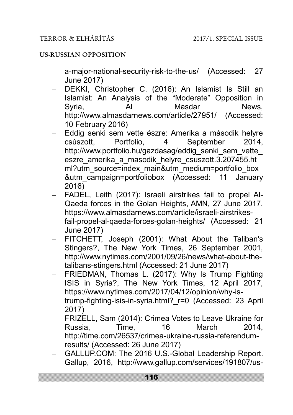a-major-national-security-risk-to-the-us/ (Accessed: 27 June 2017)

- DEKKI, Christopher C. (2016): An Islamist Is Still an Islamist: An Analysis of the "Moderate" Opposition in Syria, Al Masdar News, http://www.almasdarnews.com/article/27951/ (Accessed: 10 February 2016)
- Eddig senki sem vette észre: Amerika a második helyre csúszott, Portfolio, 4 September 2014, http://www.portfolio.hu/gazdasag/eddig\_senki\_sem\_vette eszre\_amerika\_a\_masodik\_helyre\_csuszott.3.207455.ht ml?utm\_source=index\_main&utm\_medium=portfolio\_box &utm\_campaign=portfoliobox (Accessed: 11 January 2016)
- FADEL, Leith (2017): Israeli airstrikes fail to propel Al-Qaeda forces in the Golan Heights, AMN, 27 June 2017, https://www.almasdarnews.com/article/israeli-airstrikesfail-propel-al-qaeda-forces-golan-heights/ (Accessed: 21 June 2017)
- FITCHETT, Joseph (2001): What About the Taliban's Stingers?, The New York Times, 26 September 2001, http://www.nytimes.com/2001/09/26/news/what-about-thetalibans-stingers.html (Accessed: 21 June 2017)
- FRIEDMAN, Thomas L. (2017): Why Is Trump Fighting ISIS in Syria?, The New York Times, 12 April 2017, https://www.nytimes.com/2017/04/12/opinion/why-istrump-fighting-isis-in-syria.html?\_r=0 (Accessed: 23 April 2017)
- FRIZELL, Sam (2014): Crimea Votes to Leave Ukraine for Russia, Time, 16 March 2014, http://time.com/26537/crimea-ukraine-russia-referendumresults/ (Accessed: 26 June 2017)
- GALLUP.COM: The 2016 U.S.-Global Leadership Report. Gallup, 2016, http://www.gallup.com/services/191807/us-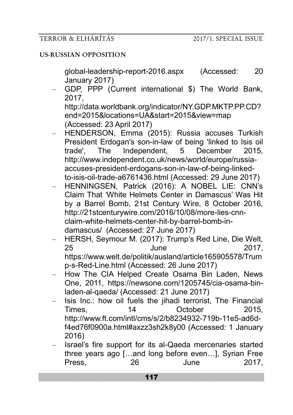global-leadership-report-2016.aspx (Accessed: 20 January 2017)

– GDP, PPP (Current international \$) The World Bank, 2017, http://data.worldbank.org/indicator/NY.GDP.MKTP.PP.CD? end=2015&locations=UA&start=2015&view=map

(Accessed: 23 April 2017)

- HENDERSON, Emma (2015): Russia accuses Turkish President Erdogan's son-in-law of being 'linked to Isis oil trade', The Independent, 5 December 2015, http://www.independent.co.uk/news/world/europe/russiaaccuses-president-erdogans-son-in-law-of-being-linkedto-isis-oil-trade-a6761436.html (Accessed: 29 June 2017)
- HENNINGSEN, Patrick (2016): A NOBEL LIE: CNN's Claim That 'White Helmets Center in Damascus' Was Hit by a Barrel Bomb, 21st Century Wire, 8 October 2016, http://21stcenturywire.com/2016/10/08/more-lies-cnnclaim-white-helmets-center-hit-by-barrel-bomb-indamascus/ (Accessed: 27 June 2017)
- HERSH, Seymour M. (2017): Trump's Red Line, Die Welt, 25 June 2017, https://www.welt.de/politik/ausland/article165905578/Trum p-s-Red-Line.html (Accessed: 26 June 2017)
- How The CIA Helped Create Osama Bin Laden, News One, 2011, https://newsone.com/1205745/cia-osama-binladen-al-qaeda/ (Accessed: 21 June 2017)
- Isis Inc.: how oil fuels the jihadi terrorist, The Financial Times, 14 October 2015, http://www.ft.com/intl/cms/s/2/b8234932-719b-11e5-ad6df4ed76f0900a.html#axzz3sh2k8y00 (Accessed: 1 January 2016)
- Israel's fire support for its al-Qaeda mercenaries started three years ago […and long before even…], Syrian Free Press, 26 June 2017,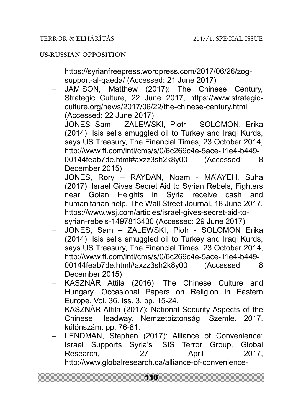https://syrianfreepress.wordpress.com/2017/06/26/zogsupport-al-qaeda/ (Accessed: 21 June 2017)

- JAMISON, Matthew (2017): The Chinese Century, Strategic Culture, 22 June 2017, https://www.strategicculture.org/news/2017/06/22/the-chinese-century.html (Accessed: 22 June 2017)
- JONES Sam ZALEWSKI, Piotr SOLOMON, Erika (2014): Isis sells smuggled oil to Turkey and Iraqi Kurds, says US Treasury, The Financial Times, 23 October 2014, http://www.ft.com/intl/cms/s/0/6c269c4e-5ace-11e4-b449- 00144feab7de.html#axzz3sh2k8y00 (Accessed: 8 December 2015)
- JONES, Rory RAYDAN, Noam MA'AYEH, Suha (2017): Israel Gives Secret Aid to Syrian Rebels, Fighters near Golan Heights in Syria receive cash and humanitarian help, The Wall Street Journal, 18 June 2017, https://www.wsj.com/articles/israel-gives-secret-aid-tosyrian-rebels-1497813430 (Accessed: 29 June 2017)
- JONES, Sam ZALEWSKI, Piotr SOLOMON Erika (2014): Isis sells smuggled oil to Turkey and Iraqi Kurds, says US Treasury, The Financial Times, 23 October 2014, http://www.ft.com/intl/cms/s/0/6c269c4e-5ace-11e4-b449- 00144feab7de.html#axzz3sh2k8y00 (Accessed: 8 December 2015)
- KASZNÁR Attila (2016): The Chinese Culture and Hungary. Occasional Papers on Religion in Eastern Europe. Vol. 36. Iss. 3. pp. 15-24.
- KASZNÁR Attila (2017): National Security Aspects of the Chinese Headway. Nemzetbiztonsági Szemle. 2017. különszám. pp. 76-81.
- LENDMAN, Stephen (2017): Alliance of Convenience: Israel Supports Syria's ISIS Terror Group, Global Research, 27 April 2017, http://www.globalresearch.ca/alliance-of-convenience-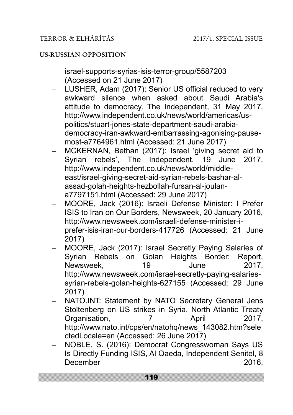israel-supports-syrias-isis-terror-group/5587203 (Accessed on 21 June 2017)

- LUSHER, Adam (2017): Senior US official reduced to very awkward silence when asked about Saudi Arabia's attitude to democracy. The Independent, 31 May 2017, http://www.independent.co.uk/news/world/americas/uspolitics/stuart-jones-state-department-saudi-arabiademocracy-iran-awkward-embarrassing-agonising-pausemost-a7764961.html (Accessed: 21 June 2017)
- MCKERNAN, Bethan (2017): Israel 'giving secret aid to Syrian rebels', The Independent, 19 June 2017, http://www.independent.co.uk/news/world/middleeast/israel-giving-secret-aid-syrian-rebels-bashar-alassad-golah-heights-hezbollah-fursan-al-joulana7797151.html (Accessed: 29 June 2017)
- MOORE, Jack (2016): Israeli Defense Minister: I Prefer ISIS to Iran on Our Borders, Newsweek, 20 January 2016, http://www.newsweek.com/israeli-defense-minister-iprefer-isis-iran-our-borders-417726 (Accessed: 21 June 2017)
- MOORE, Jack (2017): Israel Secretly Paying Salaries of Syrian Rebels on Golan Heights Border: Report, Newsweek, 19 June 2017, http://www.newsweek.com/israel-secretly-paying-salariessyrian-rebels-golan-heights-627155 (Accessed: 29 June 2017)
- NATO.INT: Statement by NATO Secretary General Jens Stoltenberg on US strikes in Syria, North Atlantic Treaty Organisation, 7 April 2017, http://www.nato.int/cps/en/natohq/news\_143082.htm?sele ctedLocale=en (Accessed: 26 June 2017)
- NOBLE, S. (2016): Democrat Congresswoman Says US Is Directly Funding ISIS, Al Qaeda, Independent Senitel, 8 December 2016,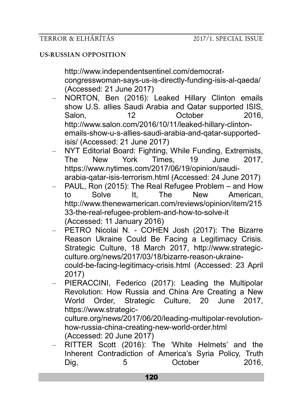http://www.independentsentinel.com/democratcongresswoman-says-us-is-directly-funding-isis-al-qaeda/ (Accessed: 21 June 2017)

- NORTON, Ben (2016): Leaked Hillary Clinton emails show U.S. allies Saudi Arabia and Qatar supported ISIS, Salon, 12 October 2016, http://www.salon.com/2016/10/11/leaked-hillary-clintonemails-show-u-s-allies-saudi-arabia-and-qatar-supportedisis/ (Accessed: 21 June 2017)
- NYT Editorial Board: Fighting, While Funding, Extremists, The New York Times, 19 June 2017, https://www.nytimes.com/2017/06/19/opinion/saudiarabia-qatar-isis-terrorism.html (Accessed: 24 June 2017)
- PAUL, Ron (2015): The Real Refugee Problem and How to Solve It, The New American, http://www.thenewamerican.com/reviews/opinion/item/215 33-the-real-refugee-problem-and-how-to-solve-it (Accessed: 11 January 2016)
- PETRO Nicolai N. COHEN Josh (2017): The Bizarre Reason Ukraine Could Be Facing a Legitimacy Crisis. Strategic Culture, 18 March 2017, http://www.strategicculture.org/news/2017/03/18/bizarre-reason-ukrainecould-be-facing-legitimacy-crisis.html (Accessed: 23 April 2017)
- PIERACCINI, Federico (2017): Leading the Multipolar Revolution: How Russia and China Are Creating a New World Order, Strategic Culture, 20 June 2017, https://www.strategic-

culture.org/news/2017/06/20/leading-multipolar-revolutionhow-russia-china-creating-new-world-order.html (Accessed: 20 June 2017)

– RITTER Scott (2016): The 'White Helmets' and the Inherent Contradiction of America's Syria Policy, Truth Dig, 5 October 2016,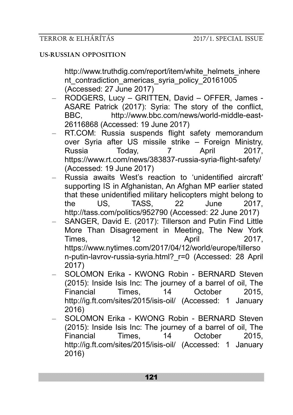http://www.truthdig.com/report/item/white\_helmets\_inhere nt contradiction americas syria policy 20161005 (Accessed: 27 June 2017)

- RODGERS, Lucy GRITTEN, David OFFER, James ASARE Patrick (2017): Syria: The story of the conflict, BBC, http://www.bbc.com/news/world-middle-east-26116868 (Accessed: 19 June 2017)
- RT.COM: Russia suspends flight safety memorandum over Syria after US missile strike – Foreign Ministry, Russia Today, 7 April 2017, https://www.rt.com/news/383837-russia-syria-flight-safety/ (Accessed: 19 June 2017)
- Russia awaits West's reaction to 'unidentified aircraft' supporting IS in Afghanistan, An Afghan MP earlier stated that these unidentified military helicopters might belong to the US, TASS, 22 June 2017, http://tass.com/politics/952790 (Accessed: 22 June 2017)
- SANGER, David E. (2017): Tillerson and Putin Find Little More Than Disagreement in Meeting, The New York Times, 12 April 2017, https://www.nytimes.com/2017/04/12/world/europe/tillerso n-putin-lavrov-russia-syria.html?\_r=0 (Accessed: 28 April 2017)
- SOLOMON Erika KWONG Robin BERNARD Steven (2015): Inside Isis Inc: The journey of a barrel of oil, The Financial Times, 14 October 2015, http://ig.ft.com/sites/2015/isis-oil/ (Accessed: 1 January 2016)
- SOLOMON Erika KWONG Robin BERNARD Steven (2015): Inside Isis Inc: The journey of a barrel of oil, The Financial Times, 14 October 2015, http://ig.ft.com/sites/2015/isis-oil/ (Accessed: 1 January 2016)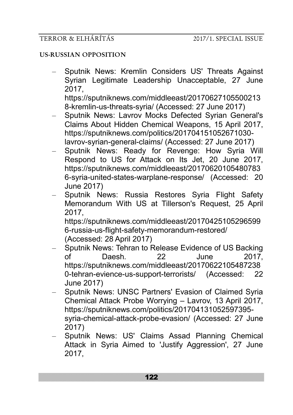## **US-RUSSIAN OPPOSITION**

– Sputnik News: Kremlin Considers US' Threats Against Syrian Legitimate Leadership Unacceptable, 27 June 2017, https://sputniknews.com/middleeast/20170627105500213

8-kremlin-us-threats-syria/ (Accessed: 27 June 2017)

- Sputnik News: Lavrov Mocks Defected Syrian General's Claims About Hidden Chemical Weapons, 15 April 2017, https://sputniknews.com/politics/201704151052671030 lavrov-syrian-general-claims/ (Accessed: 27 June 2017)
- Sputnik News: Ready for Revenge: How Syria Will Respond to US for Attack on Its Jet, 20 June 2017, https://sputniknews.com/middleeast/20170620105480783 6-syria-united-states-warplane-response/ (Accessed: 20 June 2017)
- Sputnik News: Russia Restores Syria Flight Safety Memorandum With US at Tillerson's Request, 25 April 2017,

https://sputniknews.com/middleeast/20170425105296599 6-russia-us-flight-safety-memorandum-restored/ (Accessed: 28 April 2017)

- Sputnik News: Tehran to Release Evidence of US Backing of Daesh. 22 June 2017, https://sputniknews.com/middleeast/20170622105487238 0-tehran-evience-us-support-terrorists/ (Accessed: 22 June 2017)
- Sputnik News: UNSC Partners' Evasion of Claimed Syria Chemical Attack Probe Worrying – Lavrov, 13 April 2017, https://sputniknews.com/politics/201704131052597395 syria-chemical-attack-probe-evasion/ (Accessed: 27 June 2017)
- Sputnik News: US' Claims Assad Planning Chemical Attack in Syria Aimed to 'Justify Aggression', 27 June 2017,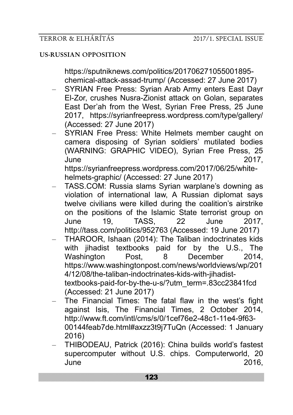https://sputniknews.com/politics/201706271055001895 chemical-attack-assad-trump/ (Accessed: 27 June 2017)

- SYRIAN Free Press: Syrian Arab Army enters East Dayr El-Zor, crushes Nusra-Zionist attack on Golan, separates East Der'ah from the West, Syrian Free Press, 25 June 2017, https://syrianfreepress.wordpress.com/type/gallery/ (Accessed: 27 June 2017)
- SYRIAN Free Press: White Helmets member caught on camera disposing of Syrian soldiers' mutilated bodies (WARNING: GRAPHIC VIDEO), Syrian Free Press, 25 June 2017, https://syrianfreepress.wordpress.com/2017/06/25/whitehelmets-graphic/ (Accessed: 27 June 2017)

– TASS.COM: Russia slams Syrian warplane's downing as violation of international law, A Russian diplomat says twelve civilians were killed during the coalition's airstrike on the positions of the Islamic State terrorist group on June 19, TASS, 22 June 2017, http://tass.com/politics/952763 (Accessed: 19 June 2017)

- THAROOR, Ishaan (2014): The Taliban indoctrinates kids with jihadist textbooks paid for by the U.S., The Washington Post, 8 December 2014, https://www.washingtonpost.com/news/worldviews/wp/201 4/12/08/the-taliban-indoctrinates-kids-with-jihadisttextbooks-paid-for-by-the-u-s/?utm\_term=.83cc23841fcd (Accessed: 21 June 2017)
- The Financial Times: The fatal flaw in the west's fight against Isis, The Financial Times, 2 October 2014, http://www.ft.com/intl/cms/s/0/1cef76e2-48c1-11e4-9f63- 00144feab7de.html#axzz3t9j7TuQn (Accessed: 1 January 2016)
- THIBODEAU, Patrick (2016): China builds world's fastest supercomputer without U.S. chips. Computerworld, 20 June 2016,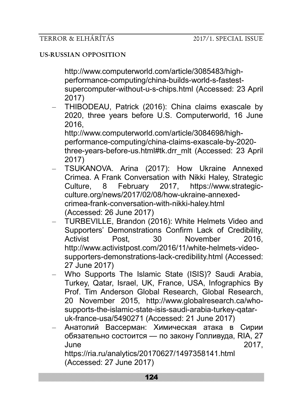http://www.computerworld.com/article/3085483/highperformance-computing/china-builds-world-s-fastestsupercomputer-without-u-s-chips.html (Accessed: 23 April 2017)

– THIBODEAU, Patrick (2016): China claims exascale by 2020, three years before U.S. Computerworld, 16 June 2016,

http://www.computerworld.com/article/3084698/highperformance-computing/china-claims-exascale-by-2020 three-years-before-us.html#tk.drr\_mlt (Accessed: 23 April 2017)

- TSUKANOVA. Arina (2017): How Ukraine Annexed Crimea. A Frank Conversation with Nikki Haley, Strategic Culture, 8 February 2017, https://www.strategicculture.org/news/2017/02/08/how-ukraine-annexedcrimea-frank-conversation-with-nikki-haley.html (Accessed: 26 June 2017)
- TURBEVILLE, Brandon (2016): White Helmets Video and Supporters' Demonstrations Confirm Lack of Credibility, Activist Post, 30 November 2016, http://www.activistpost.com/2016/11/white-helmets-videosupporters-demonstrations-lack-credibility.html (Accessed: 27 June 2017)
- Who Supports The Islamic State (ISIS)? Saudi Arabia, Turkey, Qatar, Israel, UK, France, USA, Infographics By Prof. Tim Anderson Global Research, Global Research, 20 November 2015, http://www.globalresearch.ca/whosupports-the-islamic-state-isis-saudi-arabia-turkey-qataruk-france-usa/5490271 (Accessed: 21 June 2017)
- Анатолий Вассерман: Химическая атака в Сирии обязательно состоится — по закону Голливуда, RIA, 27 June 2017,

https://ria.ru/analytics/20170627/1497358141.html (Accessed: 27 June 2017)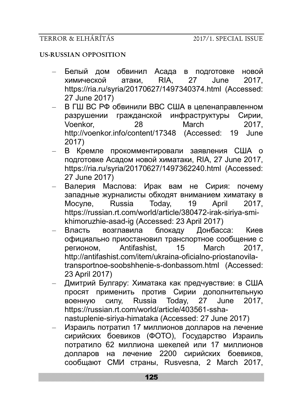## **US-RUSSIAN OPPOSITION**

- Белый дом обвинил Асада в подготовке новой химической атаки, RIA, 27 June 2017, https://ria.ru/syria/20170627/1497340374.html (Accessed: 27 June 2017)
- В ГШ ВС РФ обвинили ВВС США в целенаправленном разрушении гражданской инфраструктуры Сирии, Voenkor, 28 March 2017, http://voenkor.info/content/17348 (Accessed: 19 June 2017)
- В Кремле прокомментировали заявления США о подготовке Асадом новой химатаки, RIA, 27 June 2017, https://ria.ru/syria/20170627/1497362240.html (Accessed: 27 June 2017)
- Валерия Маслова: Ирак вам не Сирия: почему западные журналисты обходят вниманием химатаку в Мосуле, Russia Today, 19 April 2017, https://russian.rt.com/world/article/380472-irak-siriya-smikhimoruzhie-asad-ig (Accessed: 23 April 2017)
- Власть возглавила блокаду Донбасса: Киев официально приостановил транспортное сообщение с регионом, Antifashist, 15 March 2017, http://antifashist.com/item/ukraina-oficialno-priostanovilatransportnoe-soobshhenie-s-donbassom.html (Accessed: 23 April 2017)
- Дмитрий Булгару: Химатака как предчувствие: в США просят применить против Сирии дополнительную военную силу, Russia Today, 27 June 2017, https://russian.rt.com/world/article/403561-sshanastuplenie-siriya-himataka (Accessed: 27 June 2017)
- Израиль потратил 17 миллионов долларов на лечение сирийских боевиков (ФОТО), Государство Израиль потратило 62 миллиона шекелей или 17 миллионов долларов на лечение 2200 сирийских боевиков, сообщают СМИ страны, Rusvesna, 2 March 2017,